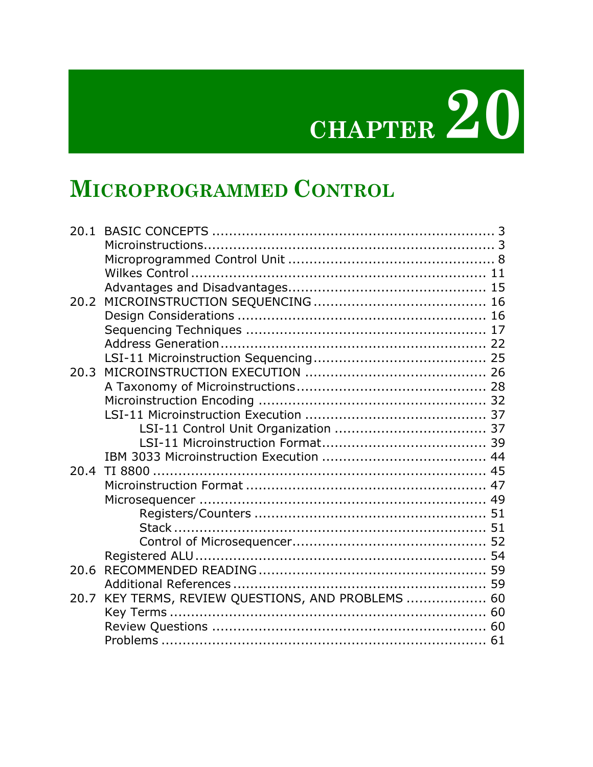# CHAPTER 20

# MICROPROGRAMMED CONTROL

| 20.2 |                                               |  |
|------|-----------------------------------------------|--|
|      |                                               |  |
|      |                                               |  |
|      |                                               |  |
|      |                                               |  |
| 20.3 |                                               |  |
|      |                                               |  |
|      |                                               |  |
|      |                                               |  |
|      |                                               |  |
|      |                                               |  |
|      |                                               |  |
| 20.4 |                                               |  |
|      |                                               |  |
|      |                                               |  |
|      |                                               |  |
|      |                                               |  |
|      |                                               |  |
|      |                                               |  |
| 20.6 |                                               |  |
|      |                                               |  |
| 20.7 | KEY TERMS, REVIEW QUESTIONS, AND PROBLEMS  60 |  |
|      |                                               |  |
|      |                                               |  |
|      |                                               |  |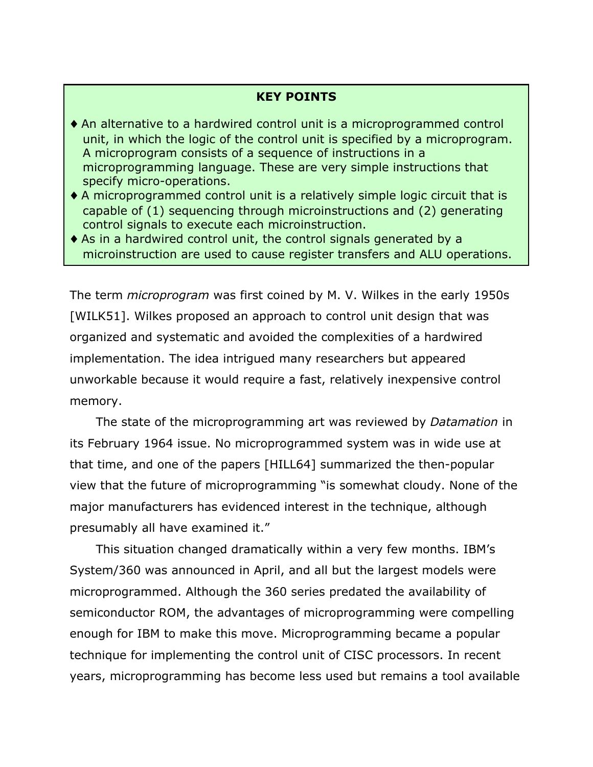#### **KEY POINTS**

- ♦ An alternative to a hardwired control unit is a microprogrammed control unit, in which the logic of the control unit is specified by a microprogram. A microprogram consists of a sequence of instructions in a microprogramming language. These are very simple instructions that specify micro-operations.
- ♦ A microprogrammed control unit is a relatively simple logic circuit that is capable of (1) sequencing through microinstructions and (2) generating control signals to execute each microinstruction.
- ♦ As in a hardwired control unit, the control signals generated by a microinstruction are used to cause register transfers and ALU operations.

The term *microprogram* was first coined by M. V. Wilkes in the early 1950s [WILK51]. Wilkes proposed an approach to control unit design that was organized and systematic and avoided the complexities of a hardwired implementation. The idea intrigued many researchers but appeared unworkable because it would require a fast, relatively inexpensive control memory.

The state of the microprogramming art was reviewed by *Datamation* in its February 1964 issue. No microprogrammed system was in wide use at that time, and one of the papers [HILL64] summarized the then-popular view that the future of microprogramming "is somewhat cloudy. None of the major manufacturers has evidenced interest in the technique, although presumably all have examined it."

This situation changed dramatically within a very few months. IBM's System/360 was announced in April, and all but the largest models were microprogrammed. Although the 360 series predated the availability of semiconductor ROM, the advantages of microprogramming were compelling enough for IBM to make this move. Microprogramming became a popular technique for implementing the control unit of CISC processors. In recent years, microprogramming has become less used but remains a tool available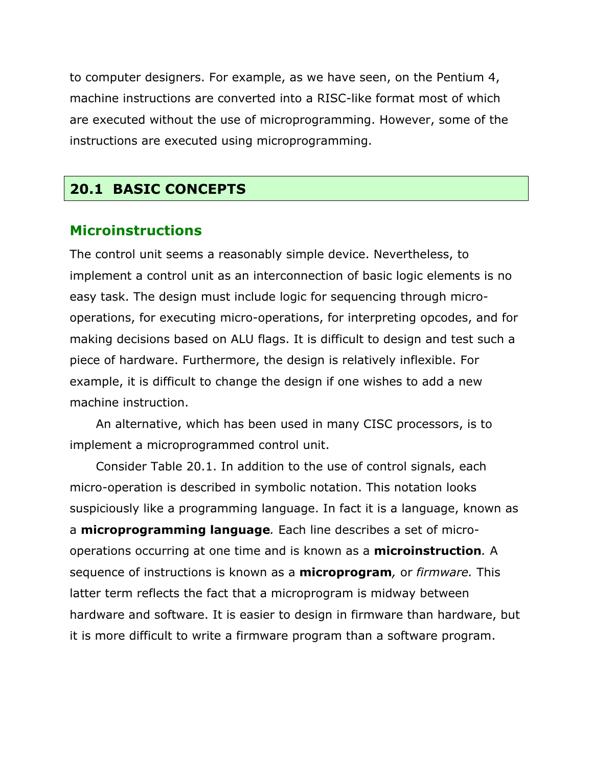to computer designers. For example, as we have seen, on the Pentium 4, machine instructions are converted into a RISC-like format most of which are executed without the use of microprogramming. However, some of the instructions are executed using microprogramming.

# **20.1 BASIC CONCEPTS**

#### **Microinstructions**

The control unit seems a reasonably simple device. Nevertheless, to implement a control unit as an interconnection of basic logic elements is no easy task. The design must include logic for sequencing through microoperations, for executing micro-operations, for interpreting opcodes, and for making decisions based on ALU flags. It is difficult to design and test such a piece of hardware. Furthermore, the design is relatively inflexible. For example, it is difficult to change the design if one wishes to add a new machine instruction.

An alternative, which has been used in many CISC processors, is to implement a microprogrammed control unit.

Consider Table 20.1. In addition to the use of control signals, each micro-operation is described in symbolic notation. This notation looks suspiciously like a programming language. In fact it is a language, known as a **microprogramming language***.* Each line describes a set of microoperations occurring at one time and is known as a **microinstruction***.* A sequence of instructions is known as a **microprogram***,* or *firmware.* This latter term reflects the fact that a microprogram is midway between hardware and software. It is easier to design in firmware than hardware, but it is more difficult to write a firmware program than a software program.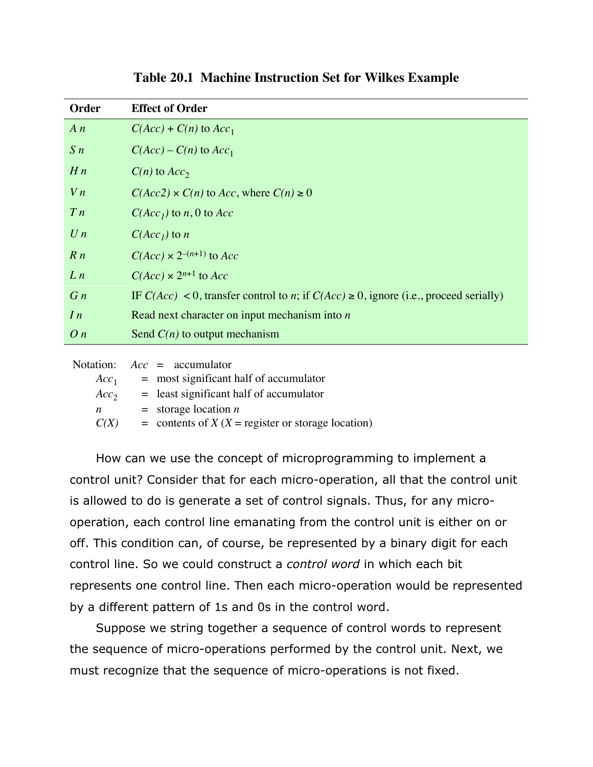| Order           | <b>Effect of Order</b>                                                                               |
|-----------------|------------------------------------------------------------------------------------------------------|
| A <sub>n</sub>  | $C(Acc) + C(n)$ to $Acc1$                                                                            |
| S <sub>n</sub>  | $C(Acc) - C(n)$ to $Acc1$                                                                            |
| Hn              | $C(n)$ to $Acc2$                                                                                     |
| $V_n$           | $C(Acc2) \times C(n)$ to $Acc$ , where $C(n) \ge 0$                                                  |
| T <sub>n</sub>  | $C(Acc1)$ to n, 0 to Acc                                                                             |
| U n             | $C(Acc1)$ to n                                                                                       |
| Rn              | $C(Acc) \times 2^{-(n+1)}$ to Acc                                                                    |
| Ln              | $C(Acc) \times 2^{n+1}$ to $Acc$                                                                     |
| G <sub>n</sub>  | IF $C(Acc) < 0$ , transfer control to <i>n</i> ; if $C(Acc) \ge 0$ , ignore (i.e., proceed serially) |
| In              | Read next character on input mechanism into $n$                                                      |
| $\overline{O}n$ | Send $C(n)$ to output mechanism                                                                      |
|                 |                                                                                                      |

**Table 20.1 Machine Instruction Set for Wilkes Example**

|                  | Notation: $Acc = \text{accumulator}$                 |
|------------------|------------------------------------------------------|
| Acc <sub>1</sub> | $=$ most significant half of accumulator             |
| Acc <sub>2</sub> | $=$ least significant half of accumulator            |
| n                | $=$ storage location <i>n</i>                        |
| C(X)             | = contents of $X(X)$ = register or storage location) |

How can we use the concept of microprogramming to implement a control unit? Consider that for each micro-operation, all that the control unit is allowed to do is generate a set of control signals. Thus, for any microoperation, each control line emanating from the control unit is either on or off. This condition can, of course, be represented by a binary digit for each control line. So we could construct a *control word* in which each bit represents one control line. Then each micro-operation would be represented by a different pattern of 1s and 0s in the control word.

Suppose we string together a sequence of control words to represent the sequence of micro-operations performed by the control unit. Next, we must recognize that the sequence of micro-operations is not fixed.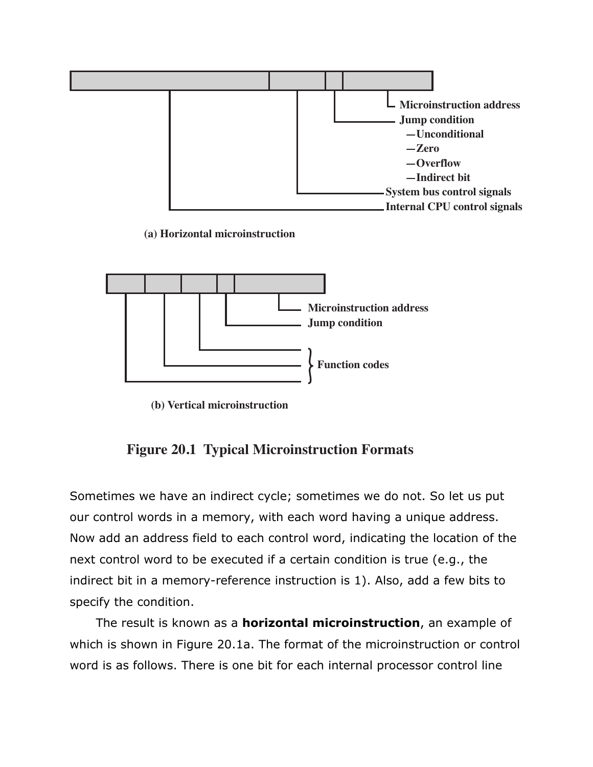

**(a) Horizontal microinstruction**



**(b) Vertical microinstruction**

#### **Figure 20.1 Typical Microinstruction Formats**

Sometimes we have an indirect cycle; sometimes we do not. So let us put our control words in a memory, with each word having a unique address. Now add an address field to each control word, indicating the location of the next control word to be executed if a certain condition is true (e.g., the indirect bit in a memory-reference instruction is 1). Also, add a few bits to specify the condition.

The result is known as a **horizontal microinstruction**, an example of which is shown in Figure 20.1a. The format of the microinstruction or control word is as follows. There is one bit for each internal processor control line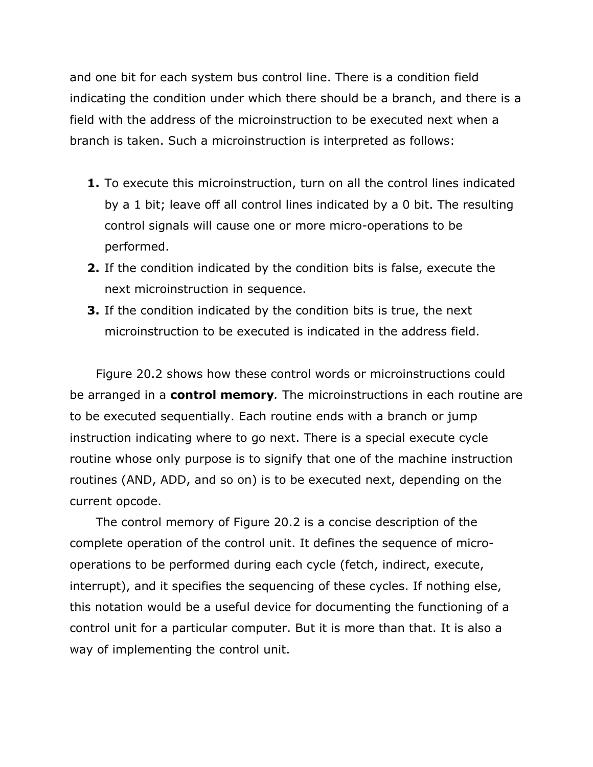and one bit for each system bus control line. There is a condition field indicating the condition under which there should be a branch, and there is a field with the address of the microinstruction to be executed next when a branch is taken. Such a microinstruction is interpreted as follows:

- **1.** To execute this microinstruction, turn on all the control lines indicated by a 1 bit; leave off all control lines indicated by a 0 bit. The resulting control signals will cause one or more micro-operations to be performed.
- **2.** If the condition indicated by the condition bits is false, execute the next microinstruction in sequence.
- **3.** If the condition indicated by the condition bits is true, the next microinstruction to be executed is indicated in the address field.

Figure 20.2 shows how these control words or microinstructions could be arranged in a **control memory***.* The microinstructions in each routine are to be executed sequentially. Each routine ends with a branch or jump instruction indicating where to go next. There is a special execute cycle routine whose only purpose is to signify that one of the machine instruction routines (AND, ADD, and so on) is to be executed next, depending on the current opcode.

The control memory of Figure 20.2 is a concise description of the complete operation of the control unit. It defines the sequence of microoperations to be performed during each cycle (fetch, indirect, execute, interrupt), and it specifies the sequencing of these cycles. If nothing else, this notation would be a useful device for documenting the functioning of a control unit for a particular computer. But it is more than that. It is also a way of implementing the control unit.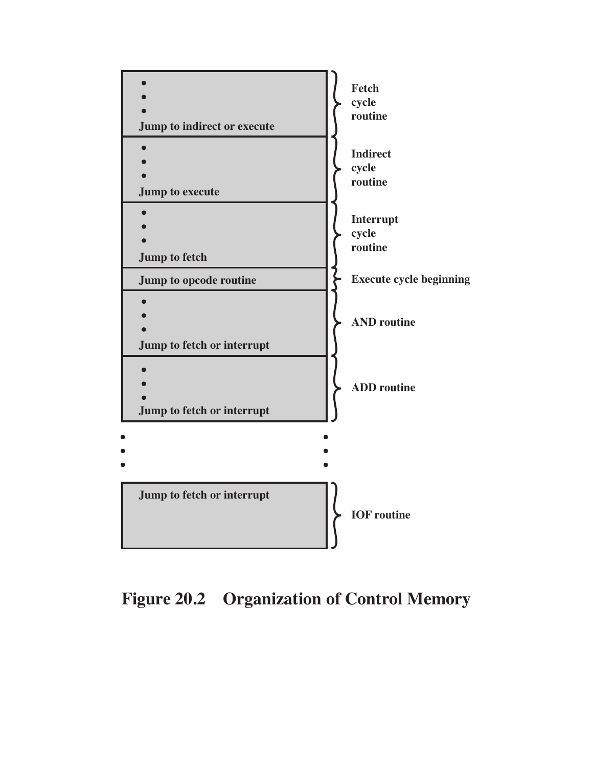

# **Figure 20.2 Organization of Control Memory**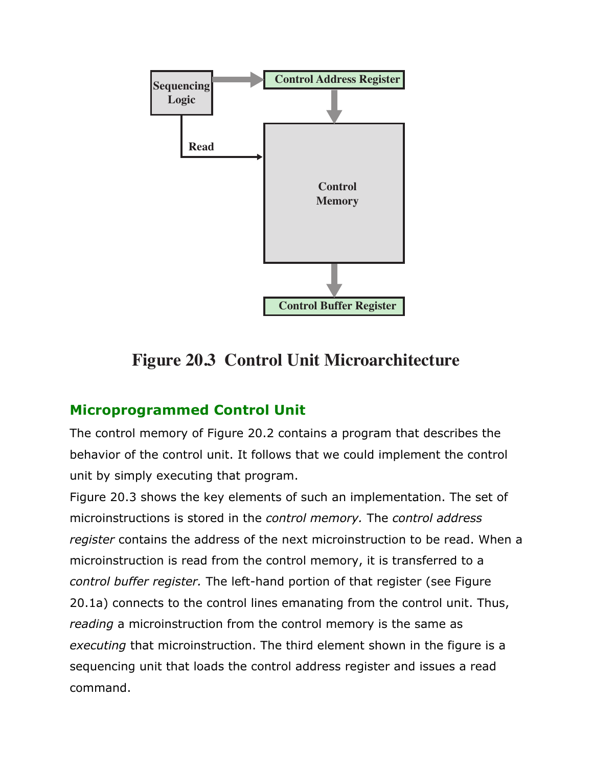

# **Figure 20.3 Control Unit Microarchitecture**

# **Microprogrammed Control Unit**

The control memory of Figure 20.2 contains a program that describes the behavior of the control unit. It follows that we could implement the control unit by simply executing that program.

Figure 20.3 shows the key elements of such an implementation. The set of microinstructions is stored in the *control memory.* The *control address register* contains the address of the next microinstruction to be read. When a microinstruction is read from the control memory, it is transferred to a *control buffer register.* The left-hand portion of that register (see Figure 20.1a) connects to the control lines emanating from the control unit. Thus, *reading* a microinstruction from the control memory is the same as *executing* that microinstruction. The third element shown in the figure is a sequencing unit that loads the control address register and issues a read command.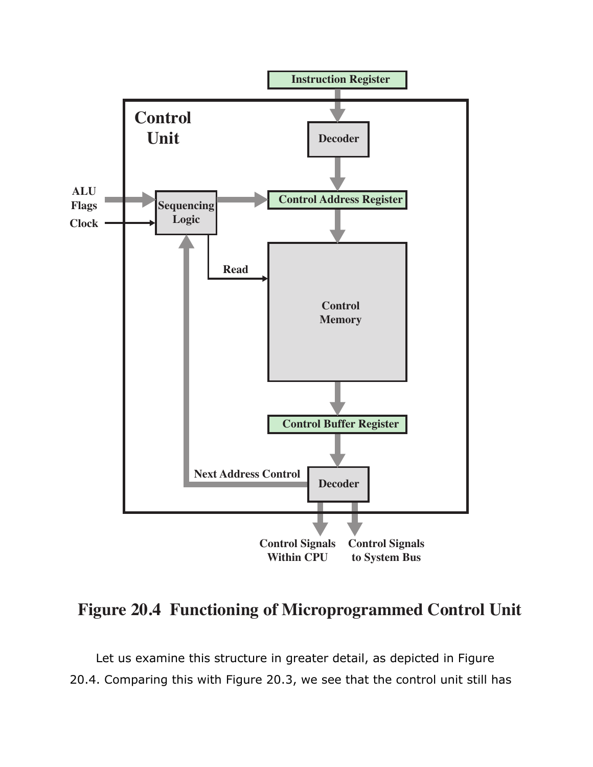

# **Figure 20.4 Functioning of Microprogrammed Control Unit**

Let us examine this structure in greater detail, as depicted in Figure 20.4. Comparing this with Figure 20.3, we see that the control unit still has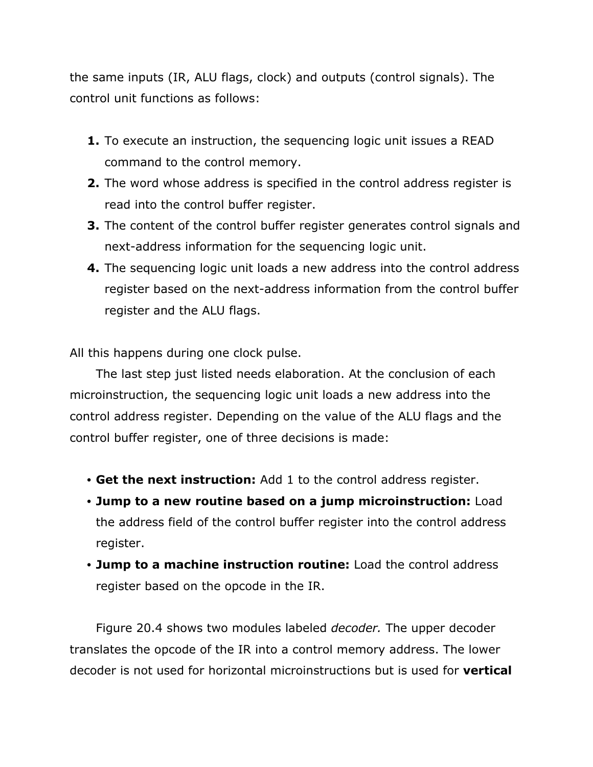the same inputs (IR, ALU flags, clock) and outputs (control signals). The control unit functions as follows:

- **1.** To execute an instruction, the sequencing logic unit issues a READ command to the control memory.
- **2.** The word whose address is specified in the control address register is read into the control buffer register.
- **3.** The content of the control buffer register generates control signals and next-address information for the sequencing logic unit.
- **4.** The sequencing logic unit loads a new address into the control address register based on the next-address information from the control buffer register and the ALU flags.

All this happens during one clock pulse.

The last step just listed needs elaboration. At the conclusion of each microinstruction, the sequencing logic unit loads a new address into the control address register. Depending on the value of the ALU flags and the control buffer register, one of three decisions is made:

- **Get the next instruction:** Add 1 to the control address register.
- **Jump to a new routine based on a jump microinstruction:** Load the address field of the control buffer register into the control address register.
- **Jump to a machine instruction routine:** Load the control address register based on the opcode in the IR.

Figure 20.4 shows two modules labeled *decoder.* The upper decoder translates the opcode of the IR into a control memory address. The lower decoder is not used for horizontal microinstructions but is used for **vertical**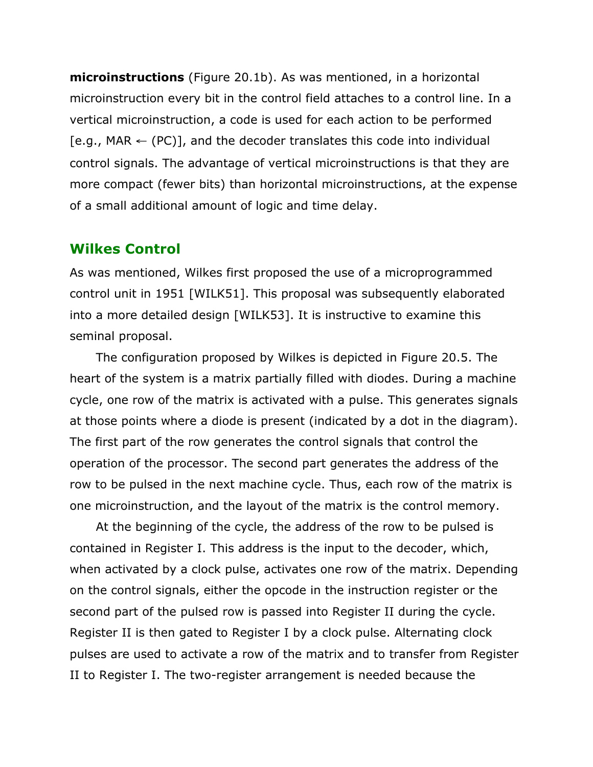**microinstructions** (Figure 20.1b). As was mentioned, in a horizontal microinstruction every bit in the control field attaches to a control line. In a vertical microinstruction, a code is used for each action to be performed [e.g., MAR  $\leftarrow$  (PC)], and the decoder translates this code into individual control signals. The advantage of vertical microinstructions is that they are more compact (fewer bits) than horizontal microinstructions, at the expense of a small additional amount of logic and time delay.

#### **Wilkes Control**

As was mentioned, Wilkes first proposed the use of a microprogrammed control unit in 1951 [WILK51]. This proposal was subsequently elaborated into a more detailed design [WILK53]. It is instructive to examine this seminal proposal.

The configuration proposed by Wilkes is depicted in Figure 20.5. The heart of the system is a matrix partially filled with diodes. During a machine cycle, one row of the matrix is activated with a pulse. This generates signals at those points where a diode is present (indicated by a dot in the diagram). The first part of the row generates the control signals that control the operation of the processor. The second part generates the address of the row to be pulsed in the next machine cycle. Thus, each row of the matrix is one microinstruction, and the layout of the matrix is the control memory.

At the beginning of the cycle, the address of the row to be pulsed is contained in Register I. This address is the input to the decoder, which, when activated by a clock pulse, activates one row of the matrix. Depending on the control signals, either the opcode in the instruction register or the second part of the pulsed row is passed into Register II during the cycle. Register II is then gated to Register I by a clock pulse. Alternating clock pulses are used to activate a row of the matrix and to transfer from Register II to Register I. The two-register arrangement is needed because the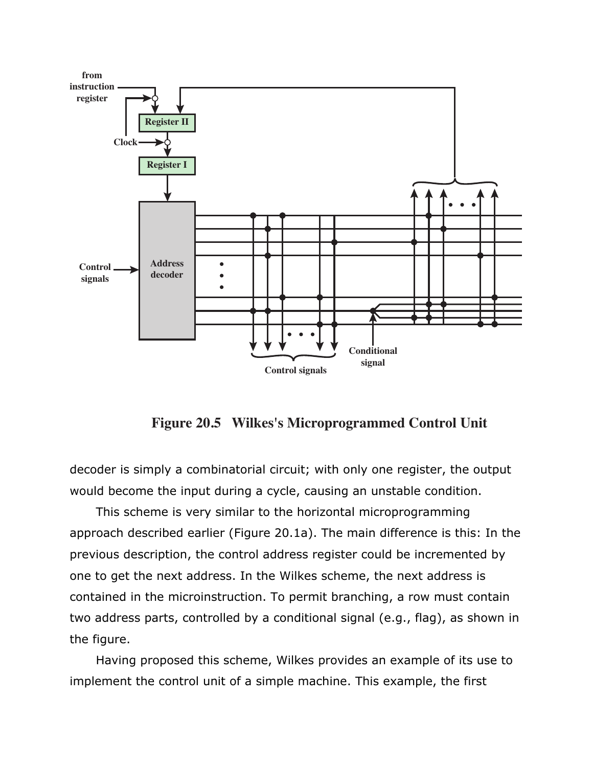

**Figure 20.5 Wilkes's Microprogrammed Control Unit**

decoder is simply a combinatorial circuit; with only one register, the output would become the input during a cycle, causing an unstable condition.

This scheme is very similar to the horizontal microprogramming approach described earlier (Figure 20.1a). The main difference is this: In the previous description, the control address register could be incremented by one to get the next address. In the Wilkes scheme, the next address is contained in the microinstruction. To permit branching, a row must contain two address parts, controlled by a conditional signal (e.g., flag), as shown in the figure.

Having proposed this scheme, Wilkes provides an example of its use to implement the control unit of a simple machine. This example, the first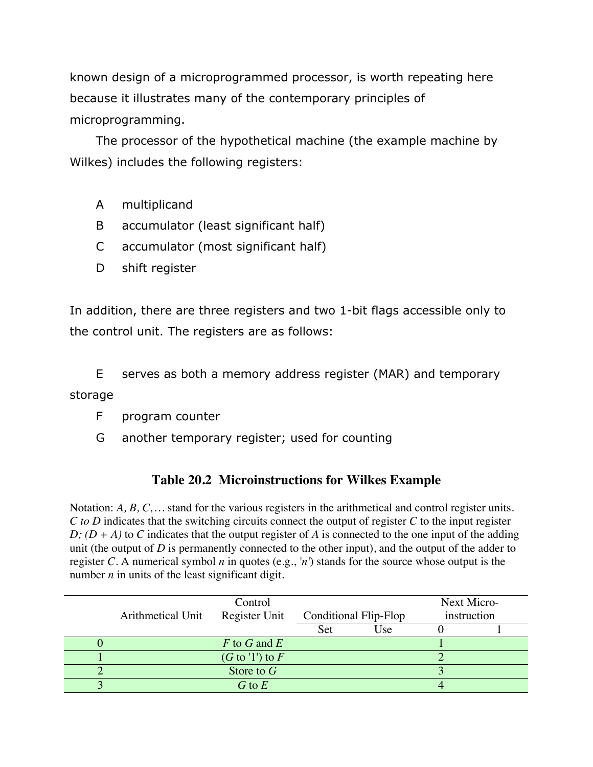known design of a microprogrammed processor, is worth repeating here because it illustrates many of the contemporary principles of microprogramming.

The processor of the hypothetical machine (the example machine by Wilkes) includes the following registers:

- A multiplicand
- B accumulator (least significant half)
- C accumulator (most significant half)
- D shift register

In addition, there are three registers and two 1-bit flags accessible only to the control unit. The registers are as follows:

E serves as both a memory address register (MAR) and temporary storage

- F program counter
- G another temporary register; used for counting

#### **Table 20.2 Microinstructions for Wilkes Example**

Notation: *A, B, C,*... stand for the various registers in the arithmetical and control register units. *C to D* indicates that the switching circuits connect the output of register *C* to the input register  $D$ ;  $(D + A)$  to *C* indicates that the output register of *A* is connected to the one input of the adding unit (the output of *D* is permanently connected to the other input), and the output of the adder to register *C*. A numerical symbol *n* in quotes (e.g., *'n'*) stands for the source whose output is the number  $n$  in units of the least significant digit.

| Control<br>Register Unit<br>Arithmetical Unit<br><b>Conditional Flip-Flop</b> |                              | Next Micro-<br>instruction |     |  |  |
|-------------------------------------------------------------------------------|------------------------------|----------------------------|-----|--|--|
|                                                                               |                              | Set                        | Use |  |  |
|                                                                               | $F$ to $G$ and $E$           |                            |     |  |  |
|                                                                               | $(G \text{ to } '1')$ to $F$ |                            |     |  |  |
|                                                                               | Store to $G$                 |                            |     |  |  |
|                                                                               | $G$ to $E$                   |                            |     |  |  |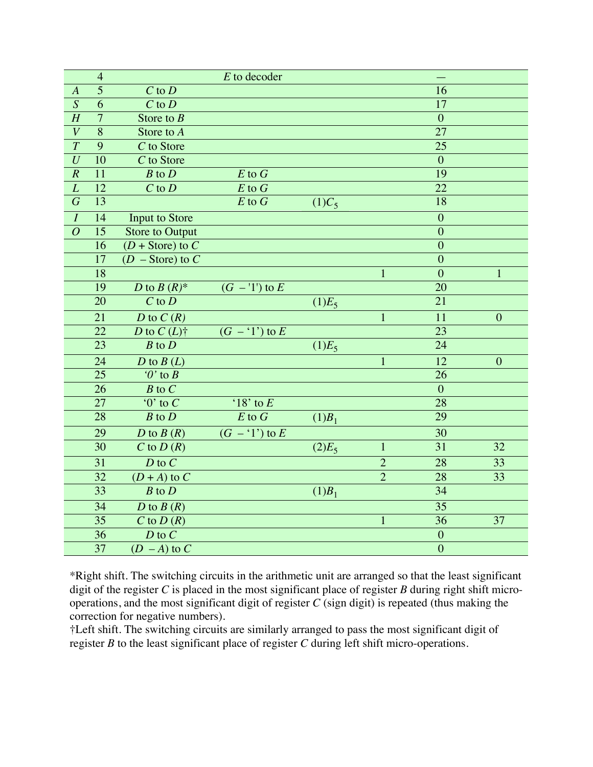|                  | $\overline{4}$  |                                     | $E$ to decoder               |          |                |                  |                  |
|------------------|-----------------|-------------------------------------|------------------------------|----------|----------------|------------------|------------------|
| $\boldsymbol{A}$ | $\overline{5}$  | $\overline{C}$ to $\overline{D}$    |                              |          |                | 16               |                  |
| $\overline{S}$   | $\overline{6}$  | $C$ to $D$                          |                              |          |                | 17               |                  |
| $\overline{H}$   | $\overline{7}$  | Store to $B$                        |                              |          |                | $\overline{0}$   |                  |
| $\overline{V}$   | $\overline{8}$  | Store to A                          |                              |          |                | $\overline{27}$  |                  |
| $\overline{T}$   | $\overline{9}$  | C to Store                          |                              |          |                | $\overline{25}$  |                  |
| $\overline{U}$   | $\overline{10}$ | C to Store                          |                              |          |                | $\overline{0}$   |                  |
| $\boldsymbol{R}$ | 11              | $B$ to $D$                          | $E$ to $G$                   |          |                | 19               |                  |
| L                | 12              | $C$ to $D$                          | $\mathcal E$ to $\mathcal G$ |          |                | 22               |                  |
| $\overline{G}$   | $\overline{13}$ |                                     | $E$ to $G$                   | $(1)C_5$ |                | $\overline{18}$  |                  |
| $\boldsymbol{I}$ | 14              | <b>Input to Store</b>               |                              |          |                | $\boldsymbol{0}$ |                  |
| $\overline{O}$   | 15              | Store to Output                     |                              |          |                | $\overline{0}$   |                  |
|                  | $\overline{16}$ | $(D + \text{Store})$ to C           |                              |          |                | $\overline{0}$   |                  |
|                  | $\overline{17}$ | $(D - Store)$ to C                  |                              |          |                | $\boldsymbol{0}$ |                  |
|                  | $\overline{18}$ |                                     |                              |          | $\mathbf{1}$   | $\overline{0}$   | $\mathbf{1}$     |
|                  | 19              | D to $B(R)^*$                       | $(G - '1')$ to E             |          |                | 20               |                  |
|                  | 20              | $\overline{C}$ to $\overline{D}$    |                              | $(1)E_5$ |                | $\overline{21}$  |                  |
|                  | $\overline{21}$ | $\overline{D}$ to $\overline{C(R)}$ |                              |          | $\mathbf{1}$   | 11               | $\boldsymbol{0}$ |
|                  | 22              | D to $C(L)$ †                       | $(G - '1')$ to E             |          |                | 23               |                  |
|                  | 23              | $B$ to $D$                          |                              | $(1)E_5$ |                | 24               |                  |
|                  | $\overline{24}$ | $\overline{D \text{ to } B(L)}$     |                              |          | $\overline{1}$ | $\overline{12}$  | $\overline{0}$   |
|                  | 25              | $\overline{O'}$ to $\overline{B}$   |                              |          |                | 26               |                  |
|                  | $\overline{26}$ | $\overline{B}$ to $\overline{C}$    |                              |          |                | $\overline{0}$   |                  |
|                  | 27              | $\overline{0}$ to C                 | '18' to $E$                  |          |                | 28               |                  |
|                  | $\overline{28}$ | $\overline{B}$ to $\overline{D}$    | $E$ to $G$                   | $(1)B_1$ |                | 29               |                  |
|                  | 29              | $D$ to $B(R)$                       | $(G - '1')$ to E             |          |                | 30               |                  |
|                  | 30              | $C$ to $D(R)$                       |                              | $(2)E_5$ | $\mathbf{1}$   | 31               | 32               |
|                  | $\overline{31}$ | $\overline{D}$ to $\overline{C}$    |                              |          | $\overline{2}$ | 28               | 33               |
|                  | $\overline{32}$ | $(D+A)$ to C                        |                              |          | $\overline{2}$ | $\overline{28}$  | $\overline{33}$  |
|                  | 33              | $B$ to $D$                          |                              | $(1)B_1$ |                | 34               |                  |
|                  | 34              | $D$ to $B(R)$                       |                              |          |                | $\overline{35}$  |                  |
|                  | $\overline{35}$ | $\overline{C}$ to $\overline{D(R)}$ |                              |          | $\mathbf{1}$   | $\overline{36}$  | $\overline{37}$  |
|                  | 36              | $\overline{D}$ to $\overline{C}$    |                              |          |                | $\boldsymbol{0}$ |                  |
|                  | $\overline{37}$ | $(D - A)$ to C                      |                              |          |                | $\overline{0}$   |                  |

\*Right shift. The switching circuits in the arithmetic unit are arranged so that the least significant digit of the register *C* is placed in the most significant place of register *B* during right shift microoperations, and the most significant digit of register *C* (sign digit) is repeated (thus making the correction for negative numbers).

†Left shift. The switching circuits are similarly arranged to pass the most significant digit of register *B* to the least significant place of register *C* during left shift micro-operations.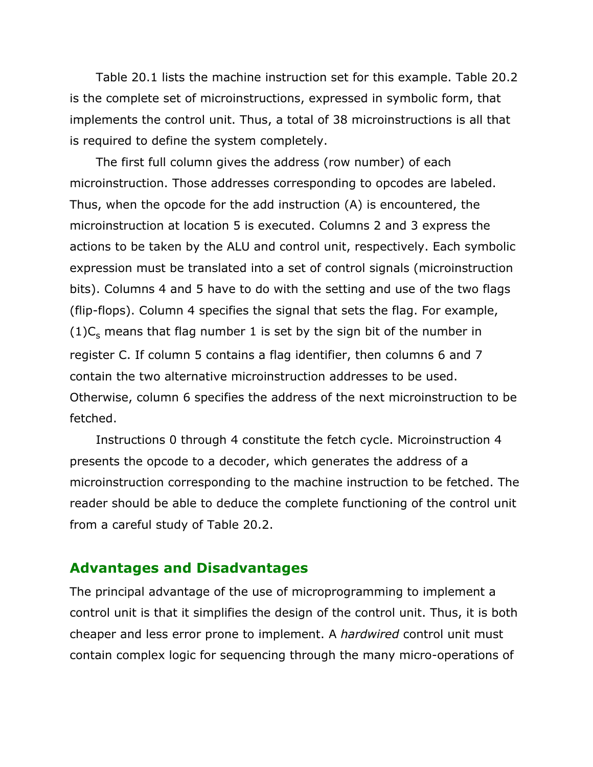Table 20.1 lists the machine instruction set for this example. Table 20.2 is the complete set of microinstructions, expressed in symbolic form, that implements the control unit. Thus, a total of 38 microinstructions is all that is required to define the system completely.

The first full column gives the address (row number) of each microinstruction. Those addresses corresponding to opcodes are labeled. Thus, when the opcode for the add instruction (A) is encountered, the microinstruction at location 5 is executed. Columns 2 and 3 express the actions to be taken by the ALU and control unit, respectively. Each symbolic expression must be translated into a set of control signals (microinstruction bits). Columns 4 and 5 have to do with the setting and use of the two flags (flip-flops). Column 4 specifies the signal that sets the flag. For example,  $(1)C<sub>s</sub>$  means that flag number 1 is set by the sign bit of the number in register C. If column 5 contains a flag identifier, then columns 6 and 7 contain the two alternative microinstruction addresses to be used. Otherwise, column 6 specifies the address of the next microinstruction to be fetched.

Instructions 0 through 4 constitute the fetch cycle. Microinstruction 4 presents the opcode to a decoder, which generates the address of a microinstruction corresponding to the machine instruction to be fetched. The reader should be able to deduce the complete functioning of the control unit from a careful study of Table 20.2.

#### **Advantages and Disadvantages**

The principal advantage of the use of microprogramming to implement a control unit is that it simplifies the design of the control unit. Thus, it is both cheaper and less error prone to implement. A *hardwired* control unit must contain complex logic for sequencing through the many micro-operations of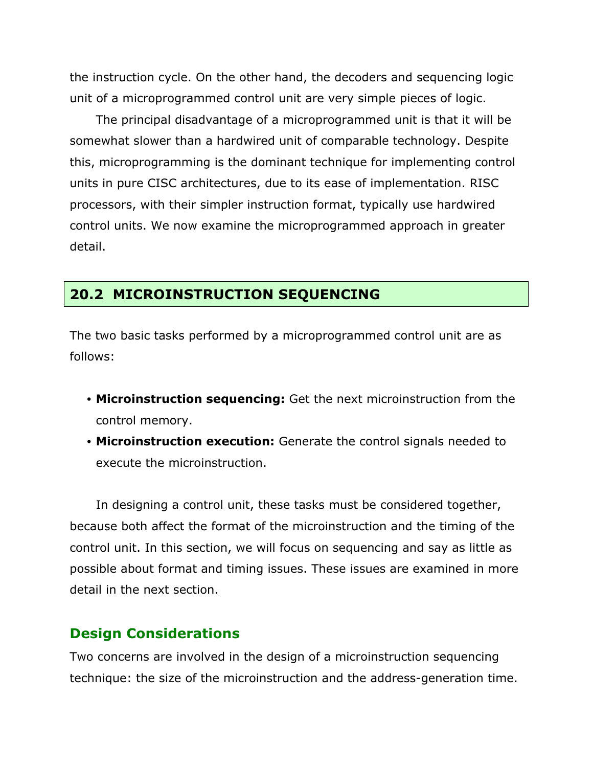the instruction cycle. On the other hand, the decoders and sequencing logic unit of a microprogrammed control unit are very simple pieces of logic.

The principal disadvantage of a microprogrammed unit is that it will be somewhat slower than a hardwired unit of comparable technology. Despite this, microprogramming is the dominant technique for implementing control units in pure CISC architectures, due to its ease of implementation. RISC processors, with their simpler instruction format, typically use hardwired control units. We now examine the microprogrammed approach in greater detail.

# **20.2 MICROINSTRUCTION SEQUENCING**

The two basic tasks performed by a microprogrammed control unit are as follows:

- **Microinstruction sequencing:** Get the next microinstruction from the control memory.
- **Microinstruction execution:** Generate the control signals needed to execute the microinstruction.

In designing a control unit, these tasks must be considered together, because both affect the format of the microinstruction and the timing of the control unit. In this section, we will focus on sequencing and say as little as possible about format and timing issues. These issues are examined in more detail in the next section.

#### **Design Considerations**

Two concerns are involved in the design of a microinstruction sequencing technique: the size of the microinstruction and the address-generation time.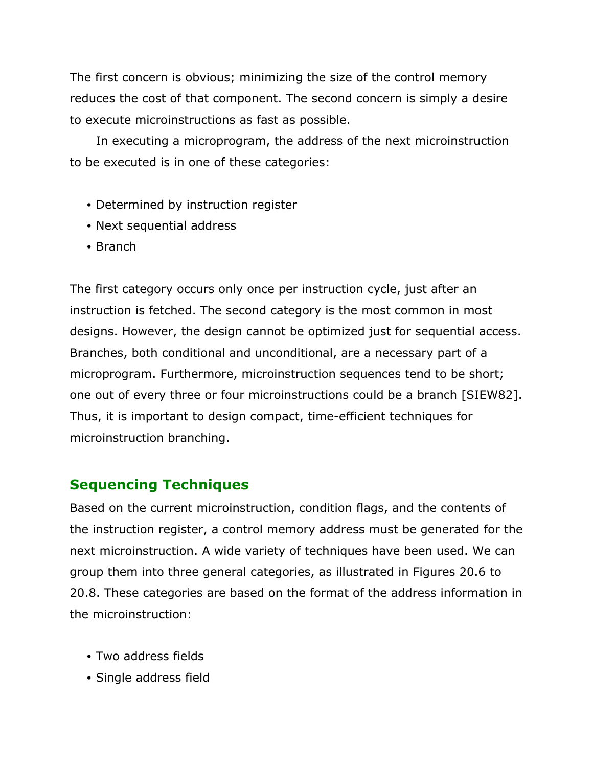The first concern is obvious; minimizing the size of the control memory reduces the cost of that component. The second concern is simply a desire to execute microinstructions as fast as possible.

In executing a microprogram, the address of the next microinstruction to be executed is in one of these categories:

- Determined by instruction register
- Next sequential address
- Branch

The first category occurs only once per instruction cycle, just after an instruction is fetched. The second category is the most common in most designs. However, the design cannot be optimized just for sequential access. Branches, both conditional and unconditional, are a necessary part of a microprogram. Furthermore, microinstruction sequences tend to be short; one out of every three or four microinstructions could be a branch [SIEW82]. Thus, it is important to design compact, time-efficient techniques for microinstruction branching.

# **Sequencing Techniques**

Based on the current microinstruction, condition flags, and the contents of the instruction register, a control memory address must be generated for the next microinstruction. A wide variety of techniques have been used. We can group them into three general categories, as illustrated in Figures 20.6 to 20.8. These categories are based on the format of the address information in the microinstruction:

- Two address fields
- Single address field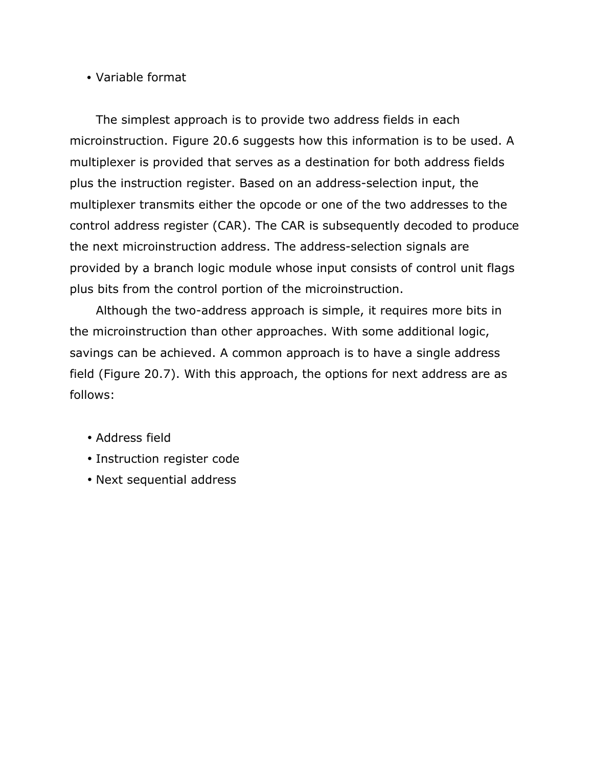#### • Variable format

The simplest approach is to provide two address fields in each microinstruction. Figure 20.6 suggests how this information is to be used. A multiplexer is provided that serves as a destination for both address fields plus the instruction register. Based on an address-selection input, the multiplexer transmits either the opcode or one of the two addresses to the control address register (CAR). The CAR is subsequently decoded to produce the next microinstruction address. The address-selection signals are provided by a branch logic module whose input consists of control unit flags plus bits from the control portion of the microinstruction.

Although the two-address approach is simple, it requires more bits in the microinstruction than other approaches. With some additional logic, savings can be achieved. A common approach is to have a single address field (Figure 20.7). With this approach, the options for next address are as follows:

- Address field
- Instruction register code
- Next sequential address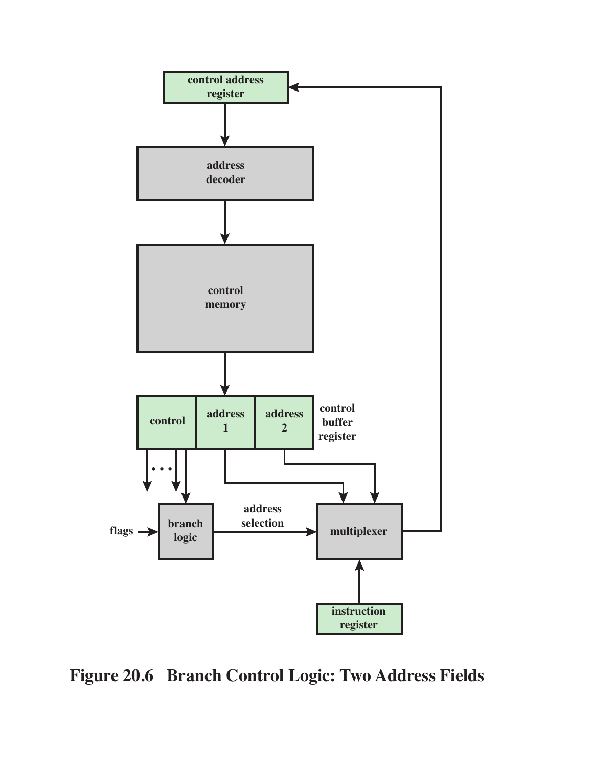

**Figure 20.6 Branch Control Logic: Two Address Fields**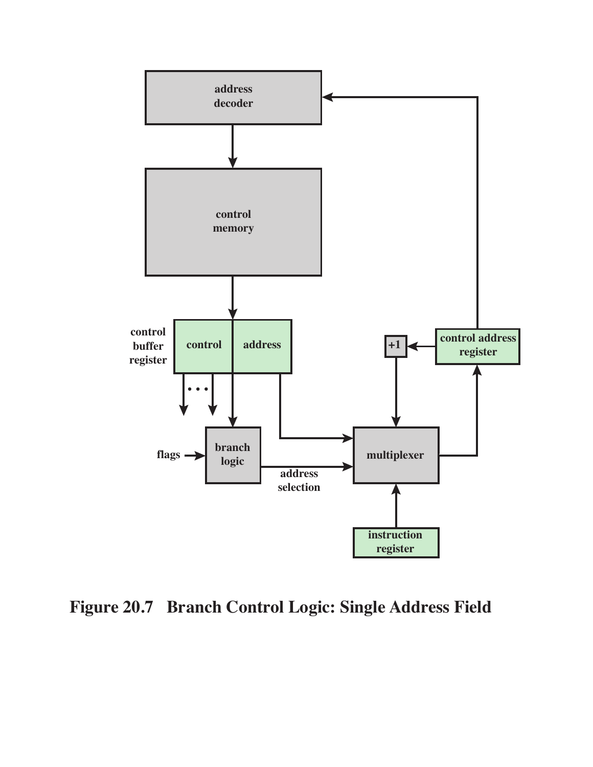

**Figure 20.7 Branch Control Logic: Single Address Field**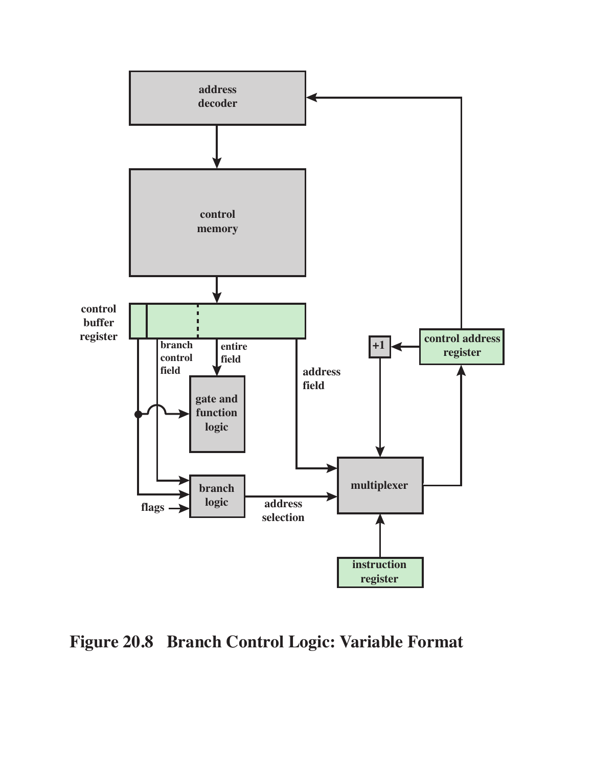

**Figure 20.8 Branch Control Logic: Variable Format**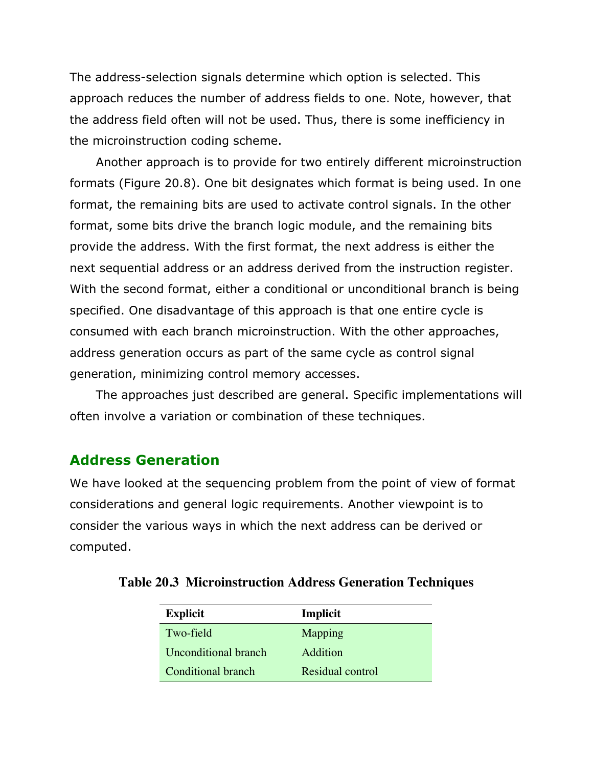The address-selection signals determine which option is selected. This approach reduces the number of address fields to one. Note, however, that the address field often will not be used. Thus, there is some inefficiency in the microinstruction coding scheme.

Another approach is to provide for two entirely different microinstruction formats (Figure 20.8). One bit designates which format is being used. In one format, the remaining bits are used to activate control signals. In the other format, some bits drive the branch logic module, and the remaining bits provide the address. With the first format, the next address is either the next sequential address or an address derived from the instruction register. With the second format, either a conditional or unconditional branch is being specified. One disadvantage of this approach is that one entire cycle is consumed with each branch microinstruction. With the other approaches, address generation occurs as part of the same cycle as control signal generation, minimizing control memory accesses.

The approaches just described are general. Specific implementations will often involve a variation or combination of these techniques.

# **Address Generation**

We have looked at the sequencing problem from the point of view of format considerations and general logic requirements. Another viewpoint is to consider the various ways in which the next address can be derived or computed.

| <b>Explicit</b>      | Implicit         |
|----------------------|------------------|
| Two-field            | Mapping          |
| Unconditional branch | Addition         |
| Conditional branch   | Residual control |

**Table 20.3 Microinstruction Address Generation Techniques**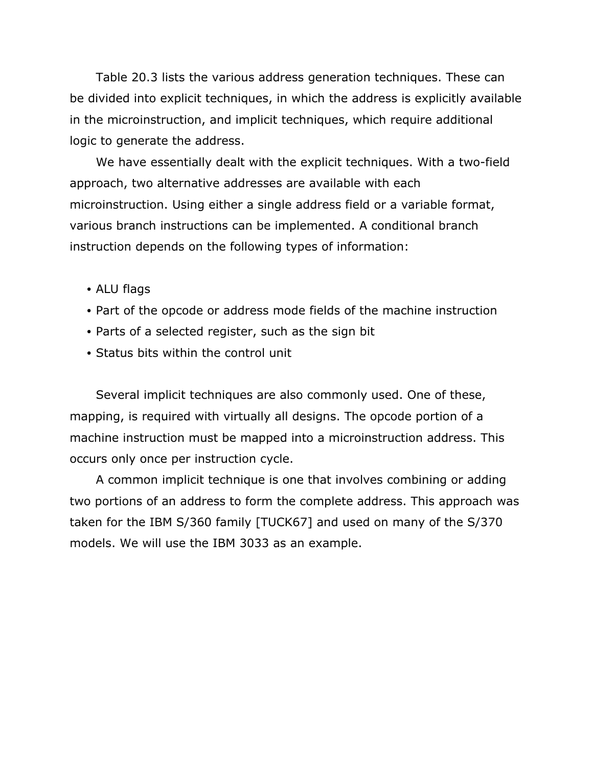Table 20.3 lists the various address generation techniques. These can be divided into explicit techniques, in which the address is explicitly available in the microinstruction, and implicit techniques, which require additional logic to generate the address.

We have essentially dealt with the explicit techniques. With a two-field approach, two alternative addresses are available with each microinstruction. Using either a single address field or a variable format, various branch instructions can be implemented. A conditional branch instruction depends on the following types of information:

- ALU flags
- Part of the opcode or address mode fields of the machine instruction
- Parts of a selected register, such as the sign bit
- Status bits within the control unit

Several implicit techniques are also commonly used. One of these, mapping, is required with virtually all designs. The opcode portion of a machine instruction must be mapped into a microinstruction address. This occurs only once per instruction cycle.

A common implicit technique is one that involves combining or adding two portions of an address to form the complete address. This approach was taken for the IBM S/360 family [TUCK67] and used on many of the S/370 models. We will use the IBM 3033 as an example.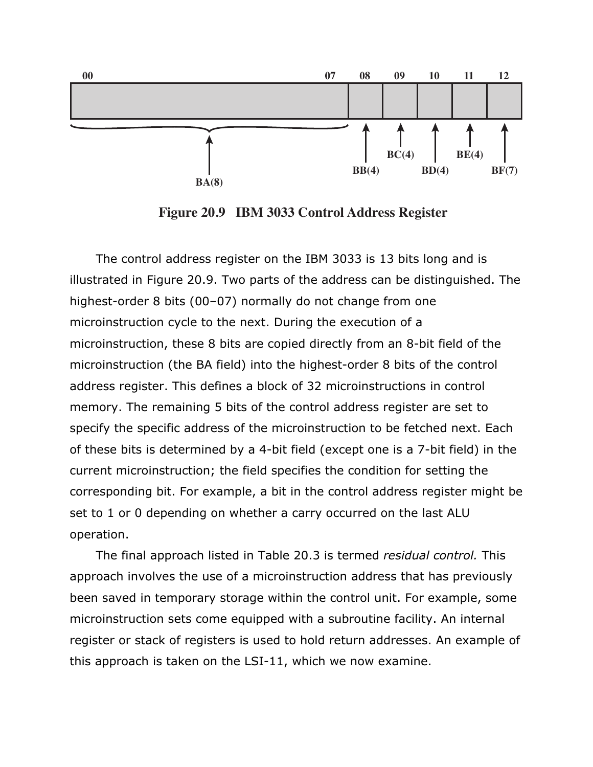

**Figure 20.9 IBM 3033 Control Address Register**

The control address register on the IBM 3033 is 13 bits long and is illustrated in Figure 20.9. Two parts of the address can be distinguished. The highest-order 8 bits (00-07) normally do not change from one microinstruction cycle to the next. During the execution of a microinstruction, these 8 bits are copied directly from an 8-bit field of the microinstruction (the BA field) into the highest-order 8 bits of the control address register. This defines a block of 32 microinstructions in control memory. The remaining 5 bits of the control address register are set to specify the specific address of the microinstruction to be fetched next. Each of these bits is determined by a 4-bit field (except one is a 7-bit field) in the current microinstruction; the field specifies the condition for setting the corresponding bit. For example, a bit in the control address register might be set to 1 or 0 depending on whether a carry occurred on the last ALU operation.

The final approach listed in Table 20.3 is termed *residual control.* This approach involves the use of a microinstruction address that has previously been saved in temporary storage within the control unit. For example, some microinstruction sets come equipped with a subroutine facility. An internal register or stack of registers is used to hold return addresses. An example of this approach is taken on the LSI-11, which we now examine.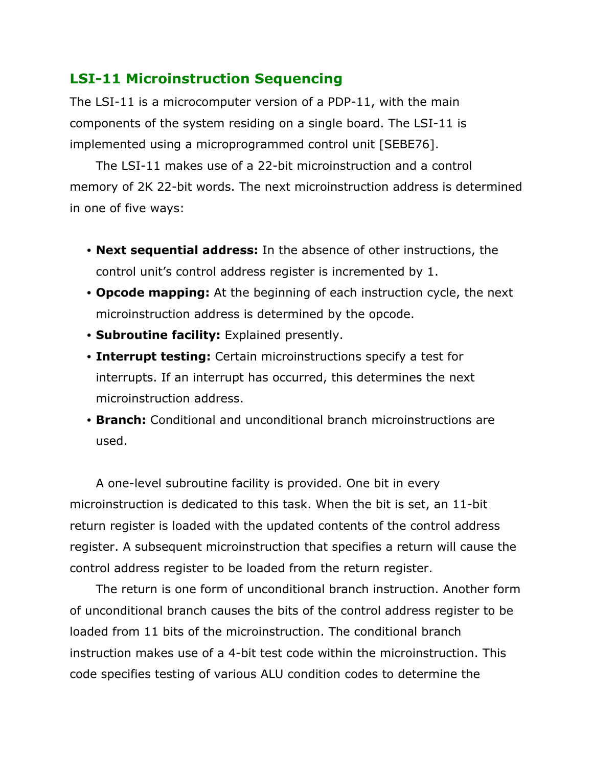# **LSI-11 Microinstruction Sequencing**

The LSI-11 is a microcomputer version of a PDP-11, with the main components of the system residing on a single board. The LSI-11 is implemented using a microprogrammed control unit [SEBE76].

The LSI-11 makes use of a 22-bit microinstruction and a control memory of 2K 22-bit words. The next microinstruction address is determined in one of five ways:

- **Next sequential address:** In the absence of other instructions, the control unit's control address register is incremented by 1.
- **Opcode mapping:** At the beginning of each instruction cycle, the next microinstruction address is determined by the opcode.
- **Subroutine facility:** Explained presently.
- **Interrupt testing:** Certain microinstructions specify a test for interrupts. If an interrupt has occurred, this determines the next microinstruction address.
- **Branch:** Conditional and unconditional branch microinstructions are used.

A one-level subroutine facility is provided. One bit in every microinstruction is dedicated to this task. When the bit is set, an 11-bit return register is loaded with the updated contents of the control address register. A subsequent microinstruction that specifies a return will cause the control address register to be loaded from the return register.

The return is one form of unconditional branch instruction. Another form of unconditional branch causes the bits of the control address register to be loaded from 11 bits of the microinstruction. The conditional branch instruction makes use of a 4-bit test code within the microinstruction. This code specifies testing of various ALU condition codes to determine the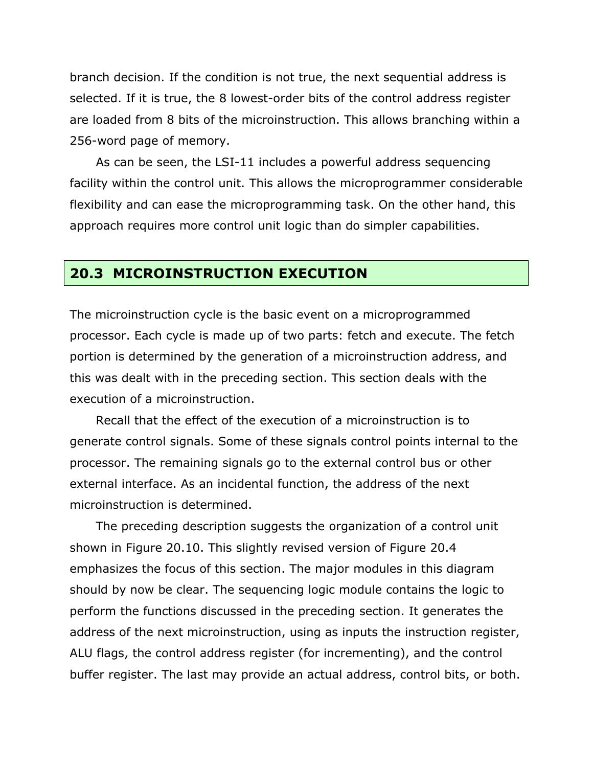branch decision. If the condition is not true, the next sequential address is selected. If it is true, the 8 lowest-order bits of the control address register are loaded from 8 bits of the microinstruction. This allows branching within a 256-word page of memory.

As can be seen, the LSI-11 includes a powerful address sequencing facility within the control unit. This allows the microprogrammer considerable flexibility and can ease the microprogramming task. On the other hand, this approach requires more control unit logic than do simpler capabilities.

# **20.3 MICROINSTRUCTION EXECUTION**

The microinstruction cycle is the basic event on a microprogrammed processor. Each cycle is made up of two parts: fetch and execute. The fetch portion is determined by the generation of a microinstruction address, and this was dealt with in the preceding section. This section deals with the execution of a microinstruction.

Recall that the effect of the execution of a microinstruction is to generate control signals. Some of these signals control points internal to the processor. The remaining signals go to the external control bus or other external interface. As an incidental function, the address of the next microinstruction is determined.

The preceding description suggests the organization of a control unit shown in Figure 20.10. This slightly revised version of Figure 20.4 emphasizes the focus of this section. The major modules in this diagram should by now be clear. The sequencing logic module contains the logic to perform the functions discussed in the preceding section. It generates the address of the next microinstruction, using as inputs the instruction register, ALU flags, the control address register (for incrementing), and the control buffer register. The last may provide an actual address, control bits, or both.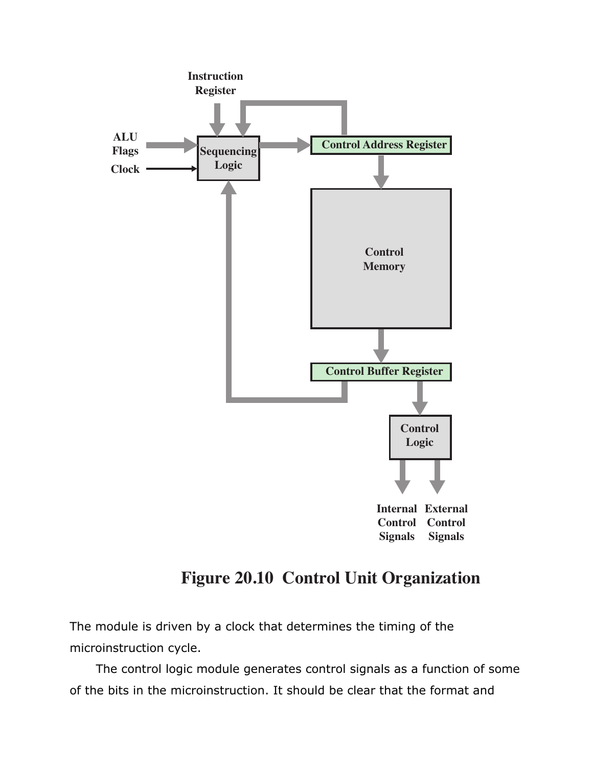

# **Figure 20.10 Control Unit Organization**

The module is driven by a clock that determines the timing of the microinstruction cycle.

The control logic module generates control signals as a function of some of the bits in the microinstruction. It should be clear that the format and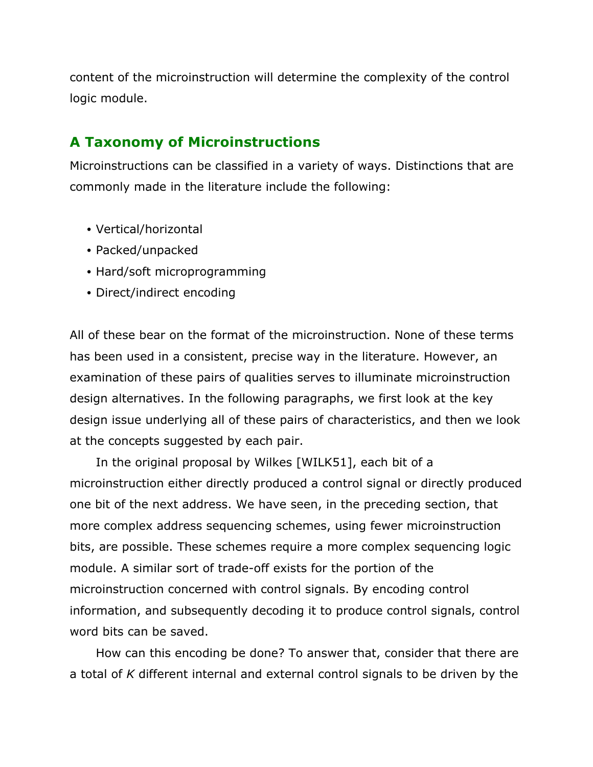content of the microinstruction will determine the complexity of the control logic module.

# **A Taxonomy of Microinstructions**

Microinstructions can be classified in a variety of ways. Distinctions that are commonly made in the literature include the following:

- Vertical/horizontal
- Packed/unpacked
- Hard/soft microprogramming
- Direct/indirect encoding

All of these bear on the format of the microinstruction. None of these terms has been used in a consistent, precise way in the literature. However, an examination of these pairs of qualities serves to illuminate microinstruction design alternatives. In the following paragraphs, we first look at the key design issue underlying all of these pairs of characteristics, and then we look at the concepts suggested by each pair.

In the original proposal by Wilkes [WILK51], each bit of a microinstruction either directly produced a control signal or directly produced one bit of the next address. We have seen, in the preceding section, that more complex address sequencing schemes, using fewer microinstruction bits, are possible. These schemes require a more complex sequencing logic module. A similar sort of trade-off exists for the portion of the microinstruction concerned with control signals. By encoding control information, and subsequently decoding it to produce control signals, control word bits can be saved.

How can this encoding be done? To answer that, consider that there are a total of *K* different internal and external control signals to be driven by the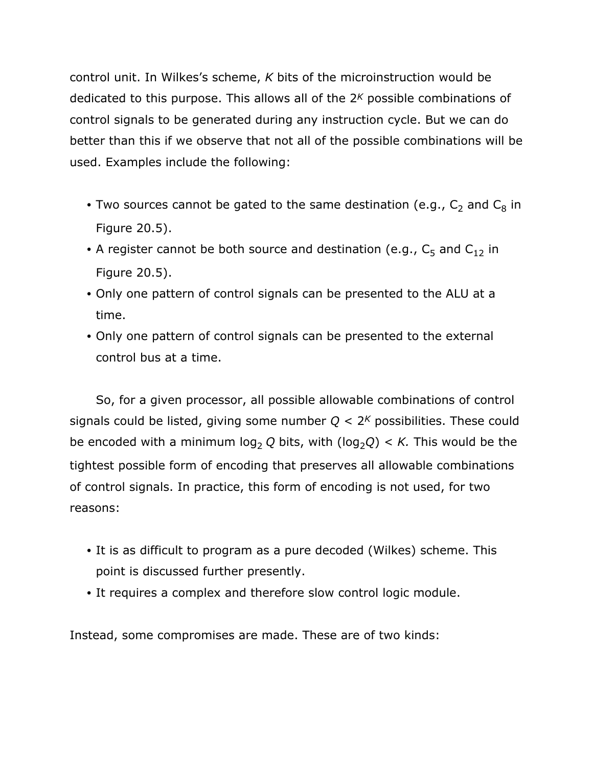control unit. In Wilkes's scheme, *K* bits of the microinstruction would be dedicated to this purpose. This allows all of the 2*K* possible combinations of control signals to be generated during any instruction cycle. But we can do better than this if we observe that not all of the possible combinations will be used. Examples include the following:

- Two sources cannot be gated to the same destination (e.g.,  $C_2$  and  $C_8$  in Figure 20.5).
- A register cannot be both source and destination (e.g.,  $C_5$  and  $C_{12}$  in Figure 20.5).
- Only one pattern of control signals can be presented to the ALU at a time.
- Only one pattern of control signals can be presented to the external control bus at a time.

So, for a given processor, all possible allowable combinations of control signals could be listed, giving some number  $Q < 2<sup>K</sup>$  possibilities. These could be encoded with a minimum  $log_2 Q$  bits, with  $(log_2 Q) < K$ . This would be the tightest possible form of encoding that preserves all allowable combinations of control signals. In practice, this form of encoding is not used, for two reasons:

- It is as difficult to program as a pure decoded (Wilkes) scheme. This point is discussed further presently.
- It requires a complex and therefore slow control logic module.

Instead, some compromises are made. These are of two kinds: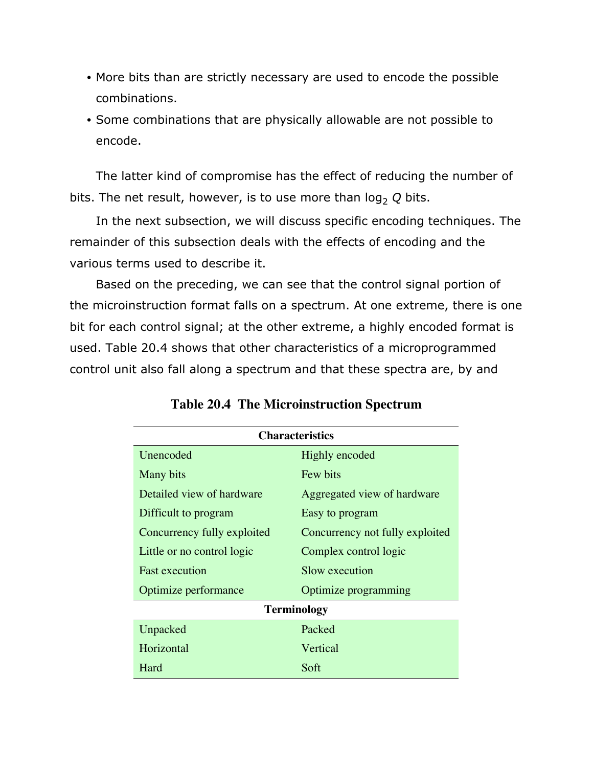- More bits than are strictly necessary are used to encode the possible combinations.
- Some combinations that are physically allowable are not possible to encode.

The latter kind of compromise has the effect of reducing the number of bits. The net result, however, is to use more than  $log_2 Q$  bits.

In the next subsection, we will discuss specific encoding techniques. The remainder of this subsection deals with the effects of encoding and the various terms used to describe it.

Based on the preceding, we can see that the control signal portion of the microinstruction format falls on a spectrum. At one extreme, there is one bit for each control signal; at the other extreme, a highly encoded format is used. Table 20.4 shows that other characteristics of a microprogrammed control unit also fall along a spectrum and that these spectra are, by and

| <b>Characteristics</b>      |                                 |  |  |  |
|-----------------------------|---------------------------------|--|--|--|
| Unencoded<br>Highly encoded |                                 |  |  |  |
| Many bits                   | Few bits                        |  |  |  |
| Detailed view of hardware   | Aggregated view of hardware     |  |  |  |
| Difficult to program        | Easy to program                 |  |  |  |
| Concurrency fully exploited | Concurrency not fully exploited |  |  |  |
| Little or no control logic  | Complex control logic           |  |  |  |
| <b>Fast execution</b>       | Slow execution                  |  |  |  |
| Optimize performance        | Optimize programming            |  |  |  |
| <b>Terminology</b>          |                                 |  |  |  |
| Unpacked                    | Packed                          |  |  |  |
| Horizontal<br>Vertical      |                                 |  |  |  |
| Hard<br>Soft                |                                 |  |  |  |

#### **Table 20.4 The Microinstruction Spectrum**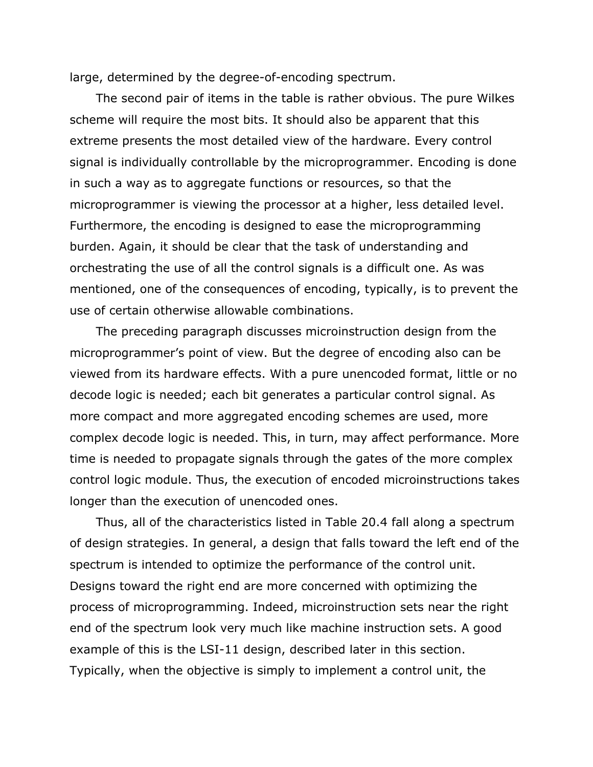large, determined by the degree-of-encoding spectrum.

The second pair of items in the table is rather obvious. The pure Wilkes scheme will require the most bits. It should also be apparent that this extreme presents the most detailed view of the hardware. Every control signal is individually controllable by the microprogrammer. Encoding is done in such a way as to aggregate functions or resources, so that the microprogrammer is viewing the processor at a higher, less detailed level. Furthermore, the encoding is designed to ease the microprogramming burden. Again, it should be clear that the task of understanding and orchestrating the use of all the control signals is a difficult one. As was mentioned, one of the consequences of encoding, typically, is to prevent the use of certain otherwise allowable combinations.

The preceding paragraph discusses microinstruction design from the microprogrammer's point of view. But the degree of encoding also can be viewed from its hardware effects. With a pure unencoded format, little or no decode logic is needed; each bit generates a particular control signal. As more compact and more aggregated encoding schemes are used, more complex decode logic is needed. This, in turn, may affect performance. More time is needed to propagate signals through the gates of the more complex control logic module. Thus, the execution of encoded microinstructions takes longer than the execution of unencoded ones.

Thus, all of the characteristics listed in Table 20.4 fall along a spectrum of design strategies. In general, a design that falls toward the left end of the spectrum is intended to optimize the performance of the control unit. Designs toward the right end are more concerned with optimizing the process of microprogramming. Indeed, microinstruction sets near the right end of the spectrum look very much like machine instruction sets. A good example of this is the LSI-11 design, described later in this section. Typically, when the objective is simply to implement a control unit, the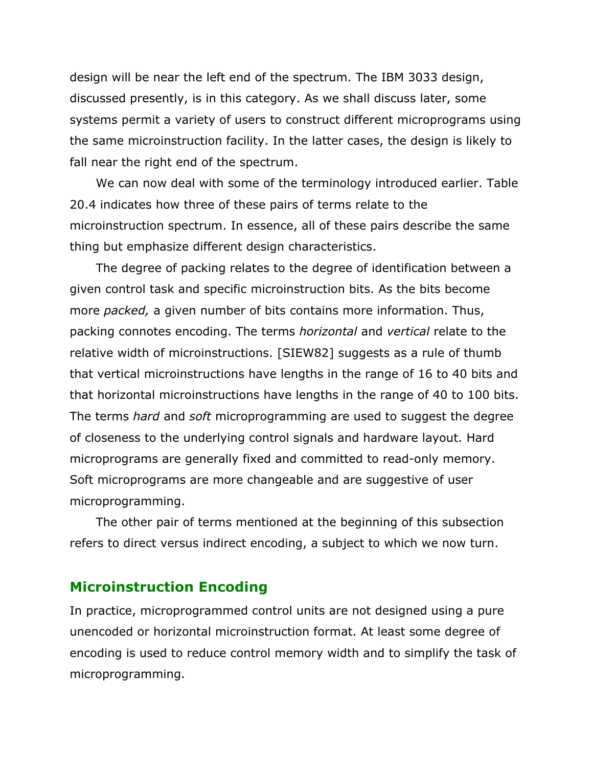design will be near the left end of the spectrum. The IBM 3033 design, discussed presently, is in this category. As we shall discuss later, some systems permit a variety of users to construct different microprograms using the same microinstruction facility. In the latter cases, the design is likely to fall near the right end of the spectrum.

We can now deal with some of the terminology introduced earlier. Table 20.4 indicates how three of these pairs of terms relate to the microinstruction spectrum. In essence, all of these pairs describe the same thing but emphasize different design characteristics.

The degree of packing relates to the degree of identification between a given control task and specific microinstruction bits. As the bits become more *packed,* a given number of bits contains more information. Thus, packing connotes encoding. The terms *horizontal* and *vertical* relate to the relative width of microinstructions. [SIEW82] suggests as a rule of thumb that vertical microinstructions have lengths in the range of 16 to 40 bits and that horizontal microinstructions have lengths in the range of 40 to 100 bits. The terms *hard* and *soft* microprogramming are used to suggest the degree of closeness to the underlying control signals and hardware layout. Hard microprograms are generally fixed and committed to read-only memory. Soft microprograms are more changeable and are suggestive of user microprogramming.

The other pair of terms mentioned at the beginning of this subsection refers to direct versus indirect encoding, a subject to which we now turn.

## **Microinstruction Encoding**

In practice, microprogrammed control units are not designed using a pure unencoded or horizontal microinstruction format. At least some degree of encoding is used to reduce control memory width and to simplify the task of microprogramming.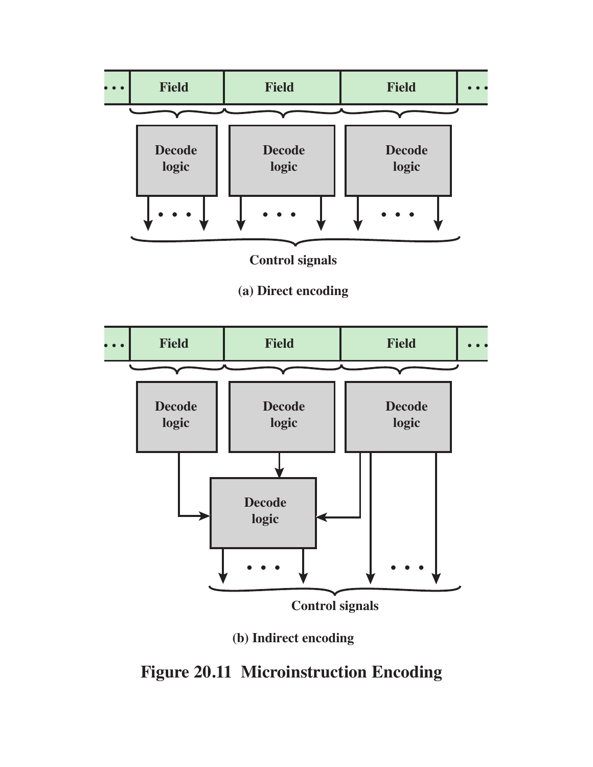

**Control signals**

**(a) Direct encoding**



**(b) Indirect encoding**

**Figure 20.11 Microinstruction Encoding**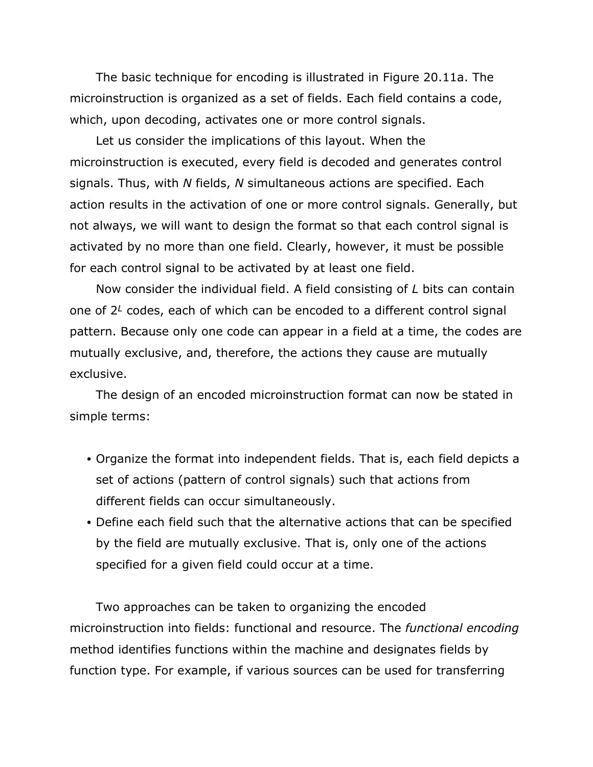The basic technique for encoding is illustrated in Figure 20.11a. The microinstruction is organized as a set of fields. Each field contains a code, which, upon decoding, activates one or more control signals.

Let us consider the implications of this layout. When the microinstruction is executed, every field is decoded and generates control signals. Thus, with *N* fields, *N* simultaneous actions are specified. Each action results in the activation of one or more control signals. Generally, but not always, we will want to design the format so that each control signal is activated by no more than one field. Clearly, however, it must be possible for each control signal to be activated by at least one field.

Now consider the individual field. A field consisting of *L* bits can contain one of 2*L* codes, each of which can be encoded to a different control signal pattern. Because only one code can appear in a field at a time, the codes are mutually exclusive, and, therefore, the actions they cause are mutually exclusive.

The design of an encoded microinstruction format can now be stated in simple terms:

- Organize the format into independent fields. That is, each field depicts a set of actions (pattern of control signals) such that actions from different fields can occur simultaneously.
- Define each field such that the alternative actions that can be specified by the field are mutually exclusive. That is, only one of the actions specified for a given field could occur at a time.

Two approaches can be taken to organizing the encoded microinstruction into fields: functional and resource. The *functional encoding* method identifies functions within the machine and designates fields by function type. For example, if various sources can be used for transferring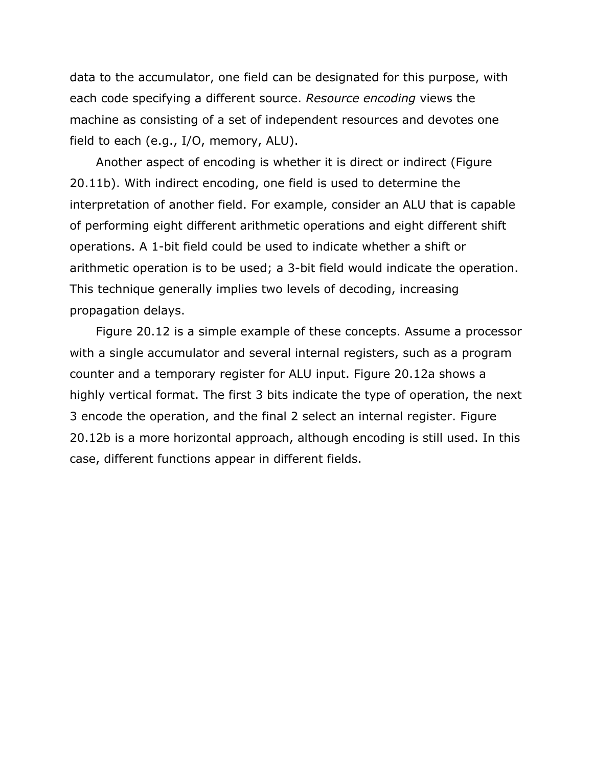data to the accumulator, one field can be designated for this purpose, with each code specifying a different source. *Resource encoding* views the machine as consisting of a set of independent resources and devotes one field to each (e.g., I/O, memory, ALU).

Another aspect of encoding is whether it is direct or indirect (Figure 20.11b). With indirect encoding, one field is used to determine the interpretation of another field. For example, consider an ALU that is capable of performing eight different arithmetic operations and eight different shift operations. A 1-bit field could be used to indicate whether a shift or arithmetic operation is to be used; a 3-bit field would indicate the operation. This technique generally implies two levels of decoding, increasing propagation delays.

Figure 20.12 is a simple example of these concepts. Assume a processor with a single accumulator and several internal registers, such as a program counter and a temporary register for ALU input. Figure 20.12a shows a highly vertical format. The first 3 bits indicate the type of operation, the next 3 encode the operation, and the final 2 select an internal register. Figure 20.12b is a more horizontal approach, although encoding is still used. In this case, different functions appear in different fields.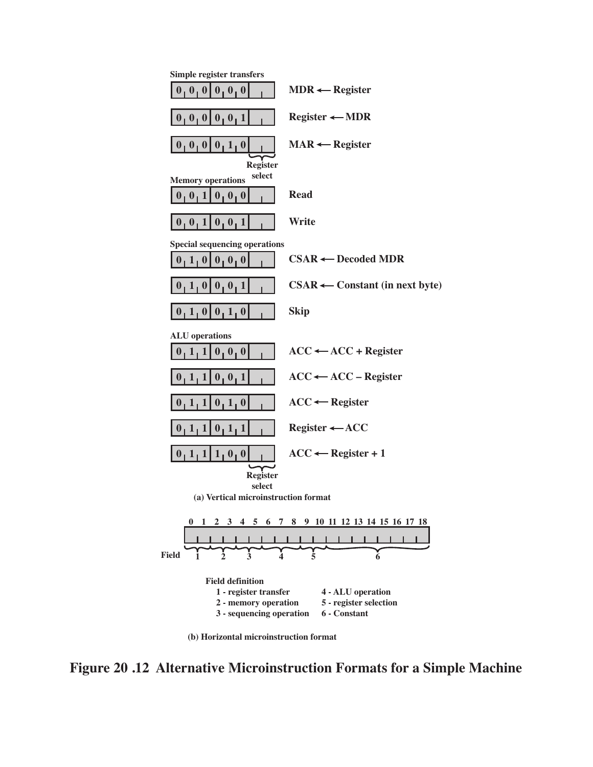



**Figure 20 .12 Alternative Microinstruction Formats for a Simple Machine**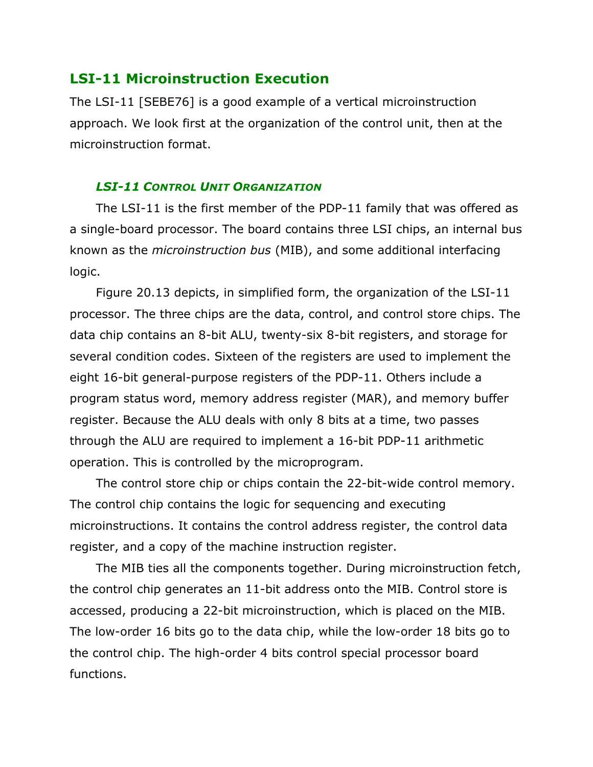#### **LSI-11 Microinstruction Execution**

The LSI-11 [SEBE76] is a good example of a vertical microinstruction approach. We look first at the organization of the control unit, then at the microinstruction format.

#### *LSI-11 CONTROL UNIT ORGANIZATION*

The LSI-11 is the first member of the PDP-11 family that was offered as a single-board processor. The board contains three LSI chips, an internal bus known as the *microinstruction bus* (MIB), and some additional interfacing logic.

Figure 20.13 depicts, in simplified form, the organization of the LSI-11 processor. The three chips are the data, control, and control store chips. The data chip contains an 8-bit ALU, twenty-six 8-bit registers, and storage for several condition codes. Sixteen of the registers are used to implement the eight 16-bit general-purpose registers of the PDP-11. Others include a program status word, memory address register (MAR), and memory buffer register. Because the ALU deals with only 8 bits at a time, two passes through the ALU are required to implement a 16-bit PDP-11 arithmetic operation. This is controlled by the microprogram.

The control store chip or chips contain the 22-bit-wide control memory. The control chip contains the logic for sequencing and executing microinstructions. It contains the control address register, the control data register, and a copy of the machine instruction register.

The MIB ties all the components together. During microinstruction fetch, the control chip generates an 11-bit address onto the MIB. Control store is accessed, producing a 22-bit microinstruction, which is placed on the MIB. The low-order 16 bits go to the data chip, while the low-order 18 bits go to the control chip. The high-order 4 bits control special processor board functions.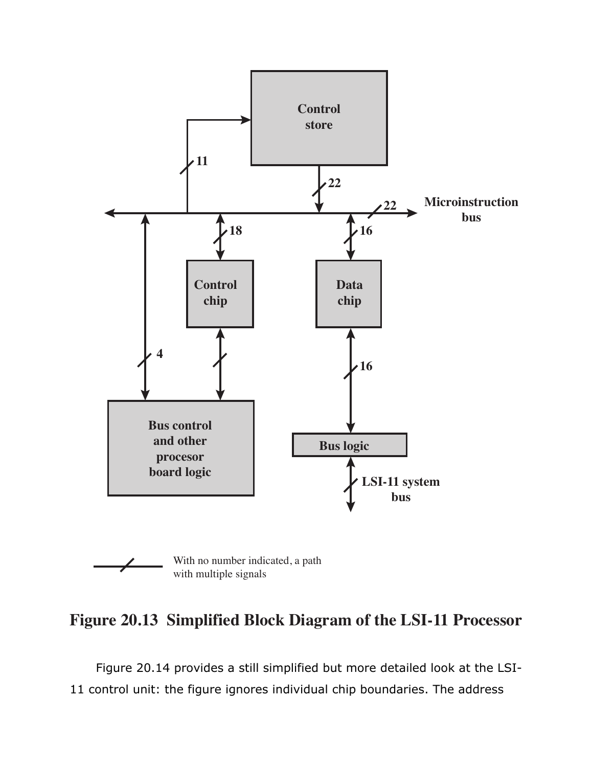



# **Figure 20.13 Simplified Block Diagram of the LSI-11 Processor**

Figure 20.14 provides a still simplified but more detailed look at the LSI-11 control unit: the figure ignores individual chip boundaries. The address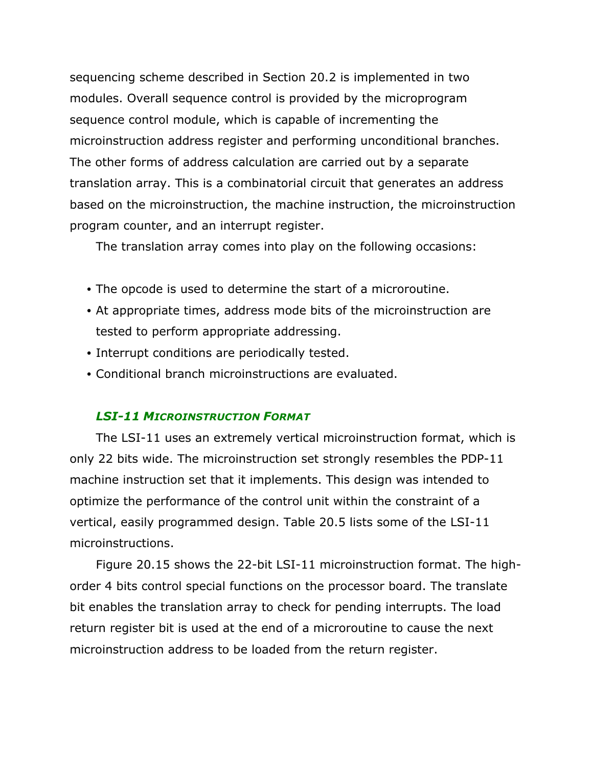sequencing scheme described in Section 20.2 is implemented in two modules. Overall sequence control is provided by the microprogram sequence control module, which is capable of incrementing the microinstruction address register and performing unconditional branches. The other forms of address calculation are carried out by a separate translation array. This is a combinatorial circuit that generates an address based on the microinstruction, the machine instruction, the microinstruction program counter, and an interrupt register.

The translation array comes into play on the following occasions:

- The opcode is used to determine the start of a microroutine.
- At appropriate times, address mode bits of the microinstruction are tested to perform appropriate addressing.
- Interrupt conditions are periodically tested.
- Conditional branch microinstructions are evaluated.

#### *LSI-11 MICROINSTRUCTION FORMAT*

The LSI-11 uses an extremely vertical microinstruction format, which is only 22 bits wide. The microinstruction set strongly resembles the PDP-11 machine instruction set that it implements. This design was intended to optimize the performance of the control unit within the constraint of a vertical, easily programmed design. Table 20.5 lists some of the LSI-11 microinstructions.

Figure 20.15 shows the 22-bit LSI-11 microinstruction format. The highorder 4 bits control special functions on the processor board. The translate bit enables the translation array to check for pending interrupts. The load return register bit is used at the end of a microroutine to cause the next microinstruction address to be loaded from the return register.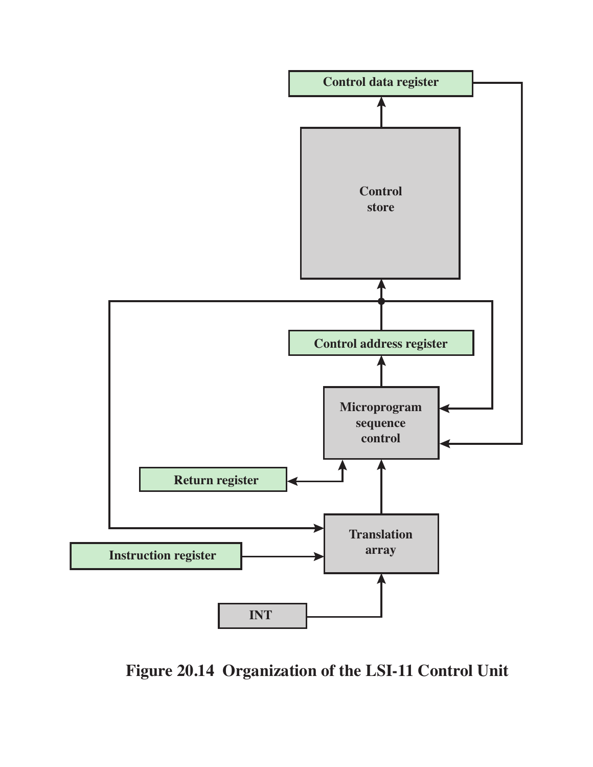

**Figure 20.14 Organization of the LSI-11 Control Unit**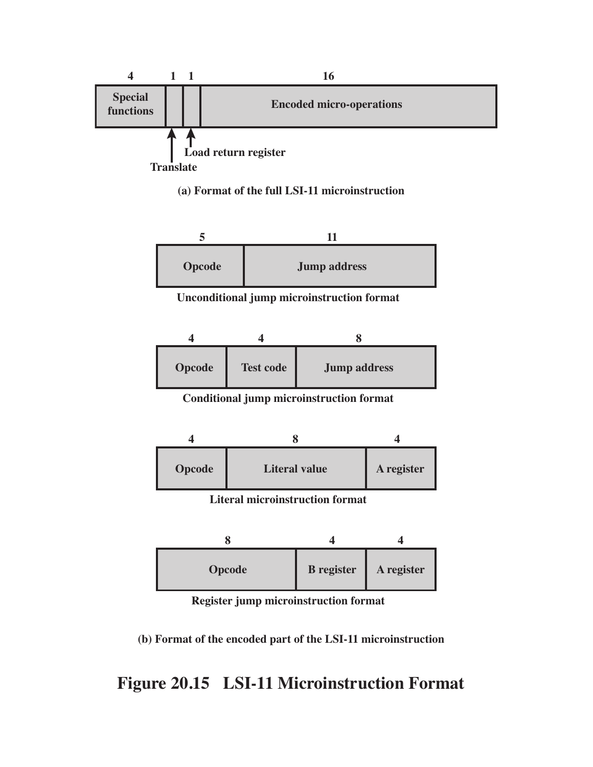

**(a) Format of the full LSI-11 microinstruction**



**Unconditional jump microinstruction format**

| Opcode | <b>Test code</b> | <b>Jump address</b> |
|--------|------------------|---------------------|

**Conditional jump microinstruction format**

| <b>Opcode</b> | <b>Literal value</b> | A register |
|---------------|----------------------|------------|

**Literal microinstruction format**

| <b>Opcode</b> | <b>B</b> register | A register |
|---------------|-------------------|------------|

**Register jump microinstruction format**

**(b) Format of the encoded part of the LSI-11 microinstruction**

# **Figure 20.15 LSI-11 Microinstruction Format**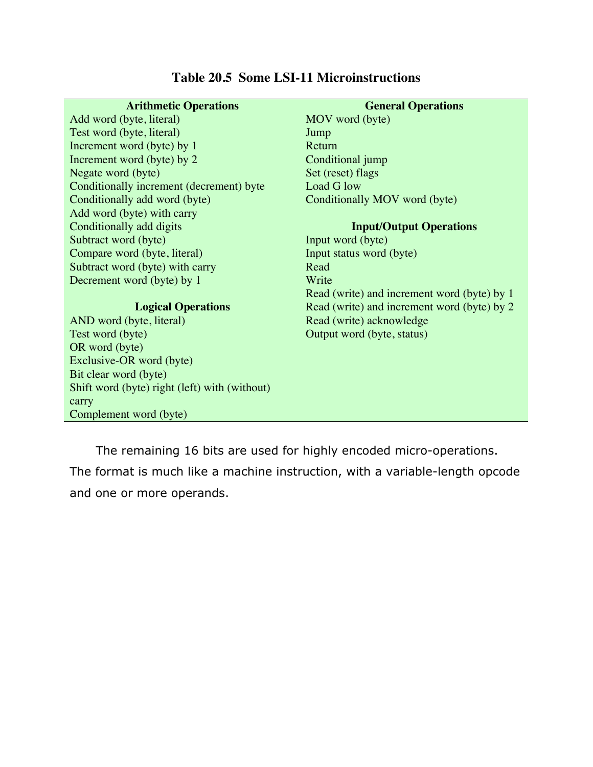| <b>Arithmetic Operations</b>                  | <b>General Operations</b>                   |
|-----------------------------------------------|---------------------------------------------|
| Add word (byte, literal)                      | MOV word (byte)                             |
| Test word (byte, literal)                     | Jump                                        |
| Increment word (byte) by 1                    | Return                                      |
| Increment word (byte) by 2                    | Conditional jump                            |
| Negate word (byte)                            | Set (reset) flags                           |
| Conditionally increment (decrement) byte      | Load G low                                  |
| Conditionally add word (byte)                 | Conditionally MOV word (byte)               |
| Add word (byte) with carry                    |                                             |
| Conditionally add digits                      | <b>Input/Output Operations</b>              |
| Subtract word (byte)                          | Input word (byte)                           |
| Compare word (byte, literal)                  | Input status word (byte)                    |
| Subtract word (byte) with carry               | Read                                        |
| Decrement word (byte) by 1                    | Write                                       |
|                                               | Read (write) and increment word (byte) by 1 |
| <b>Logical Operations</b>                     | Read (write) and increment word (byte) by 2 |
| AND word (byte, literal)                      | Read (write) acknowledge                    |
| Test word (byte)                              | Output word (byte, status)                  |
| OR word (byte)                                |                                             |
| Exclusive-OR word (byte)                      |                                             |
| Bit clear word (byte)                         |                                             |
| Shift word (byte) right (left) with (without) |                                             |
| carry                                         |                                             |
| Complement word (byte)                        |                                             |
|                                               |                                             |

#### **Table 20.5 Some LSI-11 Microinstructions**

The remaining 16 bits are used for highly encoded micro-operations.

The format is much like a machine instruction, with a variable-length opcode and one or more operands.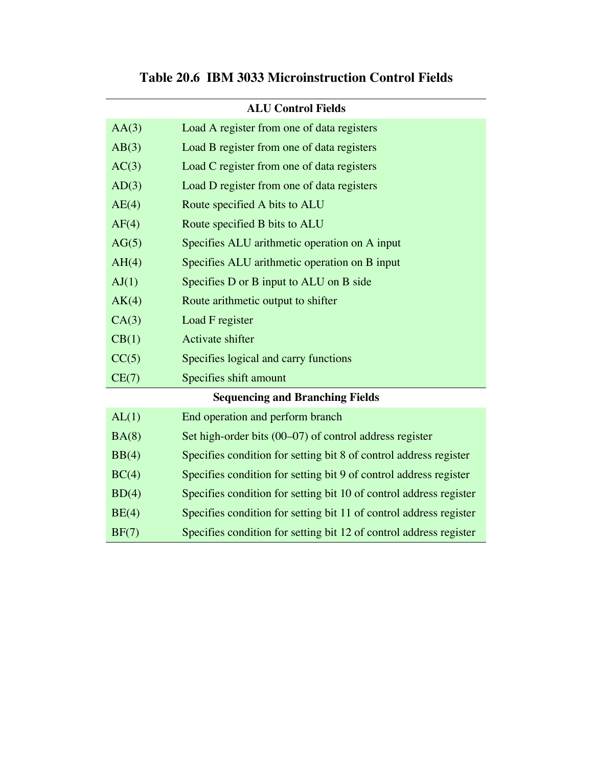# **Table 20.6 IBM 3033 Microinstruction Control Fields**

| <b>ALU Control Fields</b> |                                                                    |  |  |  |
|---------------------------|--------------------------------------------------------------------|--|--|--|
| AA(3)                     | Load A register from one of data registers                         |  |  |  |
| AB(3)                     | Load B register from one of data registers                         |  |  |  |
| AC(3)                     | Load C register from one of data registers                         |  |  |  |
| AD(3)                     | Load D register from one of data registers                         |  |  |  |
| AE(4)                     | Route specified A bits to ALU                                      |  |  |  |
| AF(4)                     | Route specified B bits to ALU                                      |  |  |  |
| AG(5)                     | Specifies ALU arithmetic operation on A input                      |  |  |  |
| AH(4)                     | Specifies ALU arithmetic operation on B input                      |  |  |  |
| AJ(1)                     | Specifies D or B input to ALU on B side                            |  |  |  |
| AK(4)                     | Route arithmetic output to shifter                                 |  |  |  |
| CA(3)                     | Load F register                                                    |  |  |  |
| CB(1)                     | Activate shifter                                                   |  |  |  |
| CC(5)                     | Specifies logical and carry functions                              |  |  |  |
| CE(7)                     | Specifies shift amount                                             |  |  |  |
|                           | <b>Sequencing and Branching Fields</b>                             |  |  |  |
| AL(1)                     | End operation and perform branch                                   |  |  |  |
| BA(8)                     | Set high-order bits (00–07) of control address register            |  |  |  |
| BB(4)                     | Specifies condition for setting bit 8 of control address register  |  |  |  |
| BC(4)                     | Specifies condition for setting bit 9 of control address register  |  |  |  |
| BD(4)                     | Specifies condition for setting bit 10 of control address register |  |  |  |
| BE(4)                     | Specifies condition for setting bit 11 of control address register |  |  |  |
| BF(7)                     | Specifies condition for setting bit 12 of control address register |  |  |  |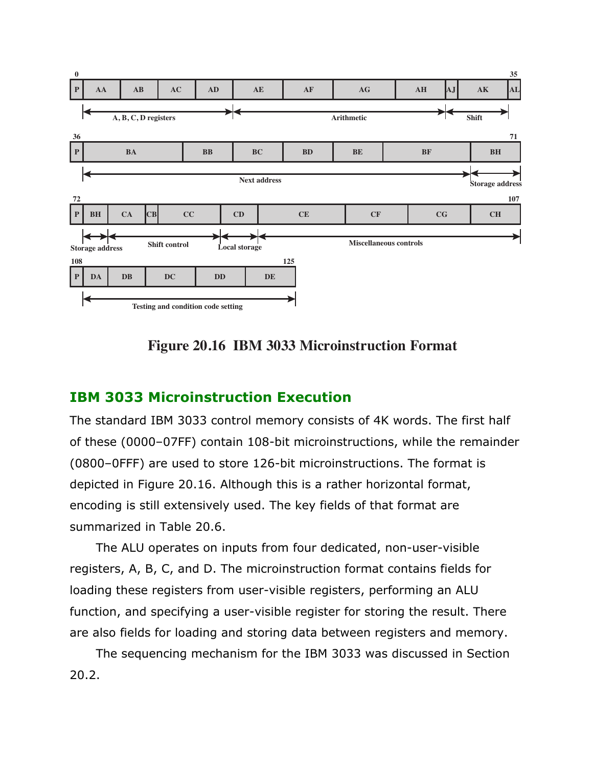



# **IBM 3033 Microinstruction Execution**

The standard IBM 3033 control memory consists of 4K words. The first half of these (0000–07FF) contain 108-bit microinstructions, while the remainder (0800–0FFF) are used to store 126-bit microinstructions. The format is depicted in Figure 20.16. Although this is a rather horizontal format, encoding is still extensively used. The key fields of that format are summarized in Table 20.6.

The ALU operates on inputs from four dedicated, non-user-visible registers, A, B, C, and D. The microinstruction format contains fields for loading these registers from user-visible registers, performing an ALU function, and specifying a user-visible register for storing the result. There are also fields for loading and storing data between registers and memory.

The sequencing mechanism for the IBM 3033 was discussed in Section 20.2.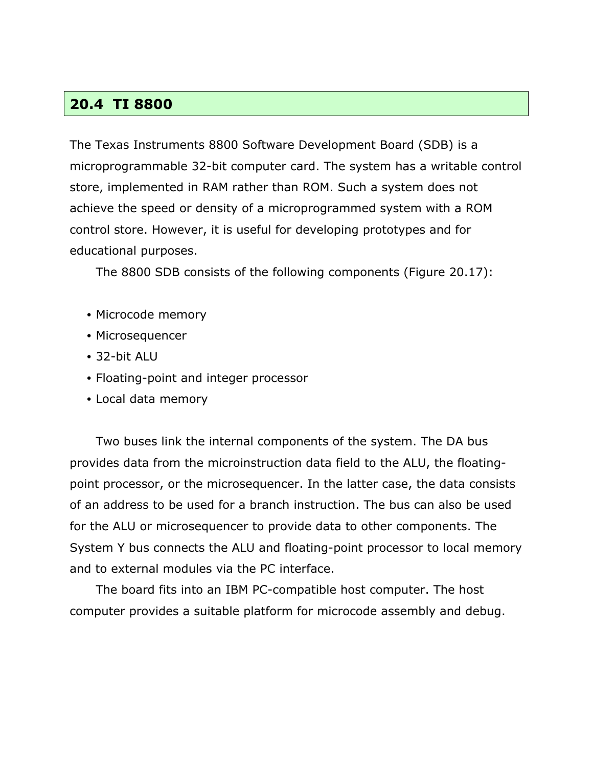# **20.4 TI 8800**

The Texas Instruments 8800 Software Development Board (SDB) is a microprogrammable 32-bit computer card. The system has a writable control store, implemented in RAM rather than ROM. Such a system does not achieve the speed or density of a microprogrammed system with a ROM control store. However, it is useful for developing prototypes and for educational purposes.

The 8800 SDB consists of the following components (Figure 20.17):

- Microcode memory
- Microsequencer
- 32-bit ALU
- Floating-point and integer processor
- Local data memory

Two buses link the internal components of the system. The DA bus provides data from the microinstruction data field to the ALU, the floatingpoint processor, or the microsequencer. In the latter case, the data consists of an address to be used for a branch instruction. The bus can also be used for the ALU or microsequencer to provide data to other components. The System Y bus connects the ALU and floating-point processor to local memory and to external modules via the PC interface.

The board fits into an IBM PC-compatible host computer. The host computer provides a suitable platform for microcode assembly and debug.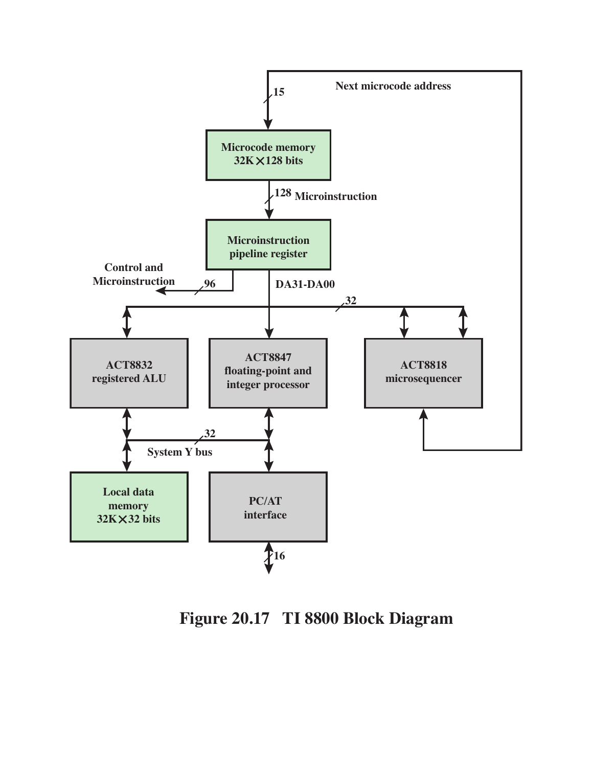

**Figure 20.17 TI 8800 Block Diagram**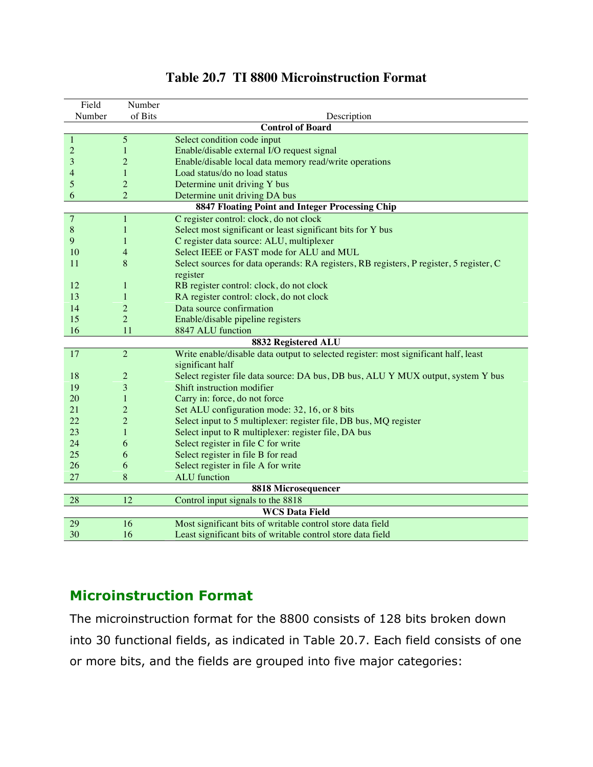| Field                   | Number         |                                                                                         |  |  |  |  |  |
|-------------------------|----------------|-----------------------------------------------------------------------------------------|--|--|--|--|--|
| Number                  | of Bits        | Description                                                                             |  |  |  |  |  |
| <b>Control of Board</b> |                |                                                                                         |  |  |  |  |  |
| 1                       | 5              | Select condition code input                                                             |  |  |  |  |  |
| $\overline{c}$          | 1              | Enable/disable external I/O request signal                                              |  |  |  |  |  |
| 3                       | $\overline{c}$ | Enable/disable local data memory read/write operations                                  |  |  |  |  |  |
| 4                       | $\mathbf{1}$   | Load status/do no load status                                                           |  |  |  |  |  |
| 5                       | $\overline{c}$ | Determine unit driving Y bus                                                            |  |  |  |  |  |
| 6                       | $\overline{2}$ | Determine unit driving DA bus                                                           |  |  |  |  |  |
|                         |                | 8847 Floating Point and Integer Processing Chip                                         |  |  |  |  |  |
| $\tau$                  | $\mathbf{1}$   | C register control: clock, do not clock                                                 |  |  |  |  |  |
| $\,$ 8 $\,$             | 1              | Select most significant or least significant bits for Y bus                             |  |  |  |  |  |
| 9                       | 1              | C register data source: ALU, multiplexer                                                |  |  |  |  |  |
| 10                      | 4              | Select IEEE or FAST mode for ALU and MUL                                                |  |  |  |  |  |
| 11                      | 8              | Select sources for data operands: RA registers, RB registers, P register, 5 register, C |  |  |  |  |  |
|                         |                | register                                                                                |  |  |  |  |  |
| 12                      | 1              | RB register control: clock, do not clock                                                |  |  |  |  |  |
| 13                      | $\mathbf{1}$   | RA register control: clock, do not clock                                                |  |  |  |  |  |
| 14                      | $\overline{c}$ | Data source confirmation                                                                |  |  |  |  |  |
| 15                      | $\overline{c}$ | Enable/disable pipeline registers                                                       |  |  |  |  |  |
| 16                      | 11             | 8847 ALU function                                                                       |  |  |  |  |  |
|                         |                | 8832 Registered ALU                                                                     |  |  |  |  |  |
| 17                      | $\overline{2}$ | Write enable/disable data output to selected register: most significant half, least     |  |  |  |  |  |
|                         |                | significant half                                                                        |  |  |  |  |  |
| 18                      | $\overline{c}$ | Select register file data source: DA bus, DB bus, ALU Y MUX output, system Y bus        |  |  |  |  |  |
| 19                      | 3              | Shift instruction modifier                                                              |  |  |  |  |  |
| 20                      | $\mathbf{1}$   | Carry in: force, do not force                                                           |  |  |  |  |  |
| 21                      | $\overline{c}$ | Set ALU configuration mode: 32, 16, or 8 bits                                           |  |  |  |  |  |
| 22                      | $\overline{c}$ | Select input to 5 multiplexer: register file, DB bus, MQ register                       |  |  |  |  |  |
| 23                      | $\mathbf{1}$   | Select input to R multiplexer: register file, DA bus                                    |  |  |  |  |  |
| 24                      | 6              | Select register in file C for write                                                     |  |  |  |  |  |
| 25                      | 6              | Select register in file B for read                                                      |  |  |  |  |  |
| 26                      | 6              | Select register in file A for write                                                     |  |  |  |  |  |
| 27                      | 8              | <b>ALU</b> function                                                                     |  |  |  |  |  |
| 8818 Microsequencer     |                |                                                                                         |  |  |  |  |  |
| 28                      | 12             | Control input signals to the 8818                                                       |  |  |  |  |  |
| <b>WCS Data Field</b>   |                |                                                                                         |  |  |  |  |  |
| 29                      | 16             | Most significant bits of writable control store data field                              |  |  |  |  |  |
| 30                      | 16             | Least significant bits of writable control store data field                             |  |  |  |  |  |

# **Table 20.7 TI 8800 Microinstruction Format**

# **Microinstruction Format**

The microinstruction format for the 8800 consists of 128 bits broken down into 30 functional fields, as indicated in Table 20.7. Each field consists of one or more bits, and the fields are grouped into five major categories: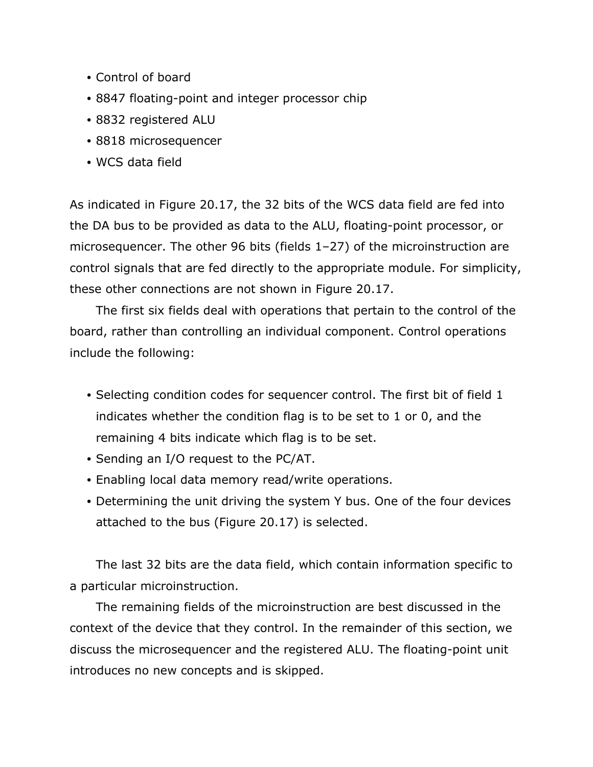- Control of board
- 8847 floating-point and integer processor chip
- 8832 registered ALU
- 8818 microsequencer
- WCS data field

As indicated in Figure 20.17, the 32 bits of the WCS data field are fed into the DA bus to be provided as data to the ALU, floating-point processor, or microsequencer. The other 96 bits (fields 1–27) of the microinstruction are control signals that are fed directly to the appropriate module. For simplicity, these other connections are not shown in Figure 20.17.

The first six fields deal with operations that pertain to the control of the board, rather than controlling an individual component. Control operations include the following:

- Selecting condition codes for sequencer control. The first bit of field 1 indicates whether the condition flag is to be set to 1 or 0, and the remaining 4 bits indicate which flag is to be set.
- Sending an I/O request to the PC/AT.
- Enabling local data memory read/write operations.
- Determining the unit driving the system Y bus. One of the four devices attached to the bus (Figure 20.17) is selected.

The last 32 bits are the data field, which contain information specific to a particular microinstruction.

The remaining fields of the microinstruction are best discussed in the context of the device that they control. In the remainder of this section, we discuss the microsequencer and the registered ALU. The floating-point unit introduces no new concepts and is skipped.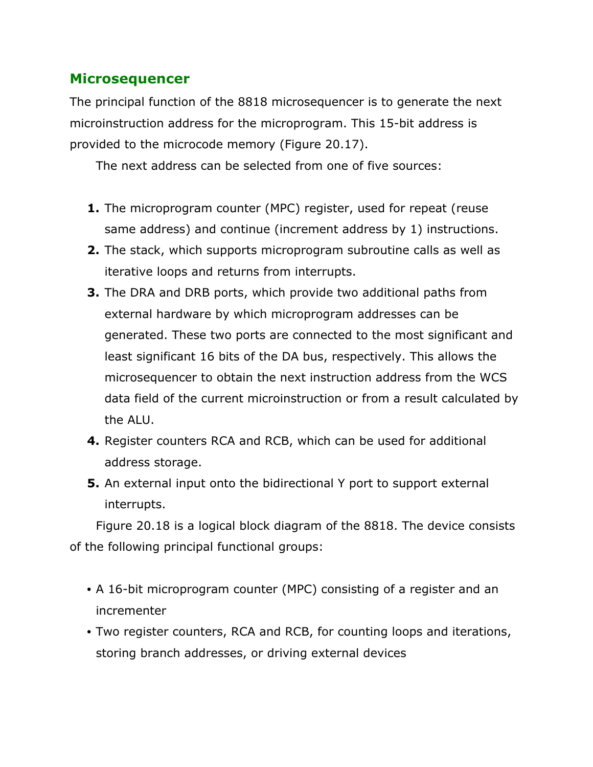# **Microsequencer**

The principal function of the 8818 microsequencer is to generate the next microinstruction address for the microprogram. This 15-bit address is provided to the microcode memory (Figure 20.17).

The next address can be selected from one of five sources:

- **1.** The microprogram counter (MPC) register, used for repeat (reuse same address) and continue (increment address by 1) instructions.
- **2.** The stack, which supports microprogram subroutine calls as well as iterative loops and returns from interrupts.
- **3.** The DRA and DRB ports, which provide two additional paths from external hardware by which microprogram addresses can be generated. These two ports are connected to the most significant and least significant 16 bits of the DA bus, respectively. This allows the microsequencer to obtain the next instruction address from the WCS data field of the current microinstruction or from a result calculated by the ALU.
- **4.** Register counters RCA and RCB, which can be used for additional address storage.
- **5.** An external input onto the bidirectional Y port to support external interrupts.

Figure 20.18 is a logical block diagram of the 8818. The device consists of the following principal functional groups:

- A 16-bit microprogram counter (MPC) consisting of a register and an incrementer
- Two register counters, RCA and RCB, for counting loops and iterations, storing branch addresses, or driving external devices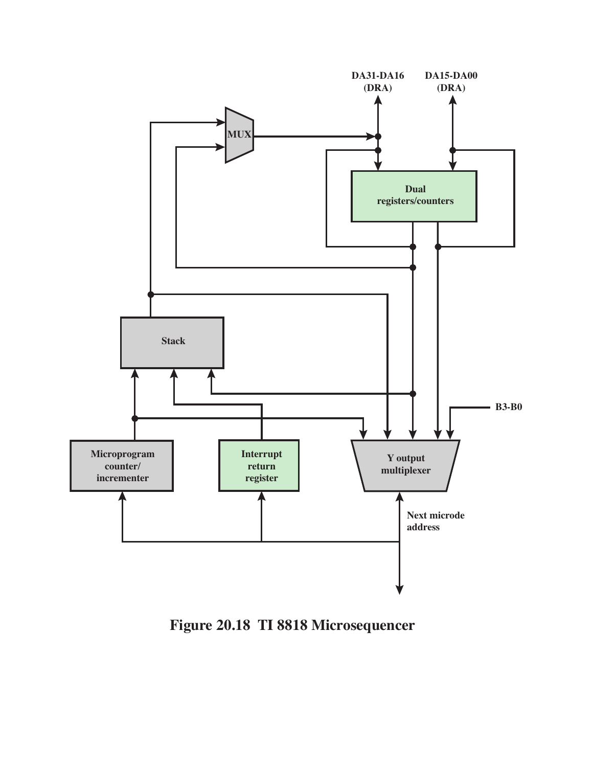

**Figure 20.18 TI 8818 Microsequencer**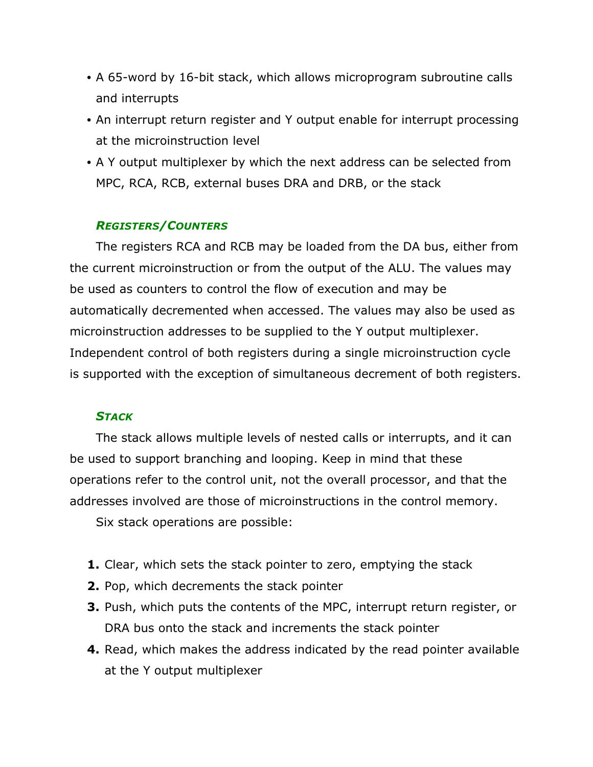- A 65-word by 16-bit stack, which allows microprogram subroutine calls and interrupts
- An interrupt return register and Y output enable for interrupt processing at the microinstruction level
- A Y output multiplexer by which the next address can be selected from MPC, RCA, RCB, external buses DRA and DRB, or the stack

#### *REGISTERS/COUNTERS*

The registers RCA and RCB may be loaded from the DA bus, either from the current microinstruction or from the output of the ALU. The values may be used as counters to control the flow of execution and may be automatically decremented when accessed. The values may also be used as microinstruction addresses to be supplied to the Y output multiplexer. Independent control of both registers during a single microinstruction cycle is supported with the exception of simultaneous decrement of both registers.

#### *STACK*

The stack allows multiple levels of nested calls or interrupts, and it can be used to support branching and looping. Keep in mind that these operations refer to the control unit, not the overall processor, and that the addresses involved are those of microinstructions in the control memory. Six stack operations are possible:

- **1.** Clear, which sets the stack pointer to zero, emptying the stack
- **2.** Pop, which decrements the stack pointer
- **3.** Push, which puts the contents of the MPC, interrupt return register, or DRA bus onto the stack and increments the stack pointer
- **4.** Read, which makes the address indicated by the read pointer available at the Y output multiplexer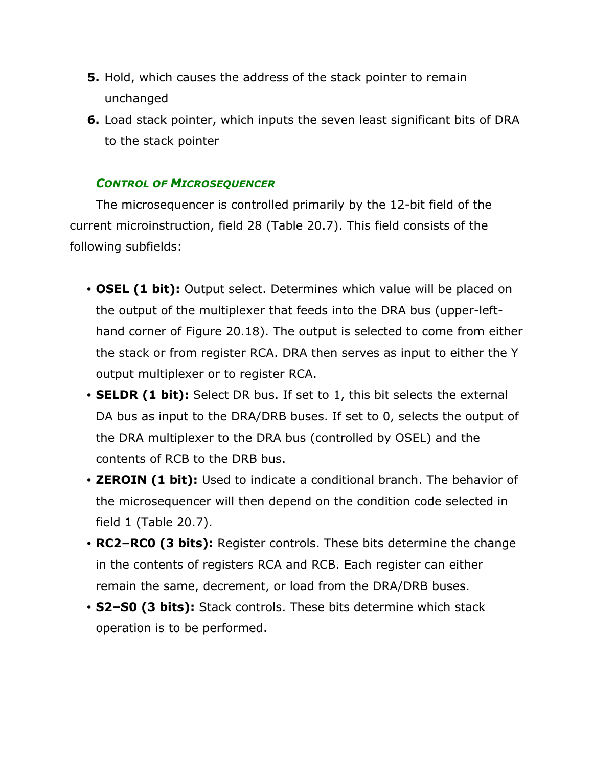- **5.** Hold, which causes the address of the stack pointer to remain unchanged
- **6.** Load stack pointer, which inputs the seven least significant bits of DRA to the stack pointer

#### *CONTROL OF MICROSEQUENCER*

The microsequencer is controlled primarily by the 12-bit field of the current microinstruction, field 28 (Table 20.7). This field consists of the following subfields:

- **OSEL (1 bit):** Output select. Determines which value will be placed on the output of the multiplexer that feeds into the DRA bus (upper-lefthand corner of Figure 20.18). The output is selected to come from either the stack or from register RCA. DRA then serves as input to either the Y output multiplexer or to register RCA.
- **SELDR (1 bit):** Select DR bus. If set to 1, this bit selects the external DA bus as input to the DRA/DRB buses. If set to 0, selects the output of the DRA multiplexer to the DRA bus (controlled by OSEL) and the contents of RCB to the DRB bus.
- **ZEROIN (1 bit):** Used to indicate a conditional branch. The behavior of the microsequencer will then depend on the condition code selected in field 1 (Table 20.7).
- **RC2–RC0 (3 bits):** Register controls. These bits determine the change in the contents of registers RCA and RCB. Each register can either remain the same, decrement, or load from the DRA/DRB buses.
- **S2–S0 (3 bits):** Stack controls. These bits determine which stack operation is to be performed.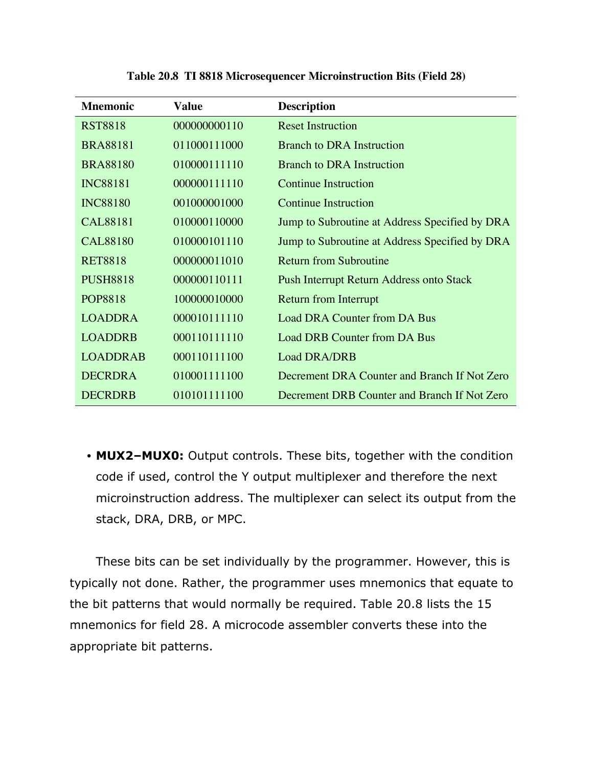| <b>Mnemonic</b> | <b>Value</b> | <b>Description</b>                             |
|-----------------|--------------|------------------------------------------------|
| <b>RST8818</b>  | 000000000110 | <b>Reset Instruction</b>                       |
| <b>BRA88181</b> | 011000111000 | <b>Branch to DRA Instruction</b>               |
| <b>BRA88180</b> | 010000111110 | <b>Branch to DRA Instruction</b>               |
| <b>INC88181</b> | 000000111110 | <b>Continue Instruction</b>                    |
| <b>INC88180</b> | 001000001000 | <b>Continue Instruction</b>                    |
| <b>CAL88181</b> | 010000110000 | Jump to Subroutine at Address Specified by DRA |
| <b>CAL88180</b> | 010000101110 | Jump to Subroutine at Address Specified by DRA |
| <b>RET8818</b>  | 000000011010 | Return from Subroutine                         |
| <b>PUSH8818</b> | 000000110111 | Push Interrupt Return Address onto Stack       |
| <b>POP8818</b>  | 100000010000 | <b>Return from Interrupt</b>                   |
| <b>LOADDRA</b>  | 000010111110 | <b>Load DRA Counter from DA Bus</b>            |
| <b>LOADDRB</b>  | 000110111110 | <b>Load DRB Counter from DA Bus</b>            |
| <b>LOADDRAB</b> | 000110111100 | <b>Load DRA/DRB</b>                            |
| <b>DECRDRA</b>  | 010001111100 | Decrement DRA Counter and Branch If Not Zero   |
| <b>DECRDRB</b>  | 010101111100 | Decrement DRB Counter and Branch If Not Zero   |

**Table 20.8 TI 8818 Microsequencer Microinstruction Bits (Field 28)**

• **MUX2–MUX0:** Output controls. These bits, together with the condition code if used, control the Y output multiplexer and therefore the next microinstruction address. The multiplexer can select its output from the stack, DRA, DRB, or MPC.

These bits can be set individually by the programmer. However, this is typically not done. Rather, the programmer uses mnemonics that equate to the bit patterns that would normally be required. Table 20.8 lists the 15 mnemonics for field 28. A microcode assembler converts these into the appropriate bit patterns.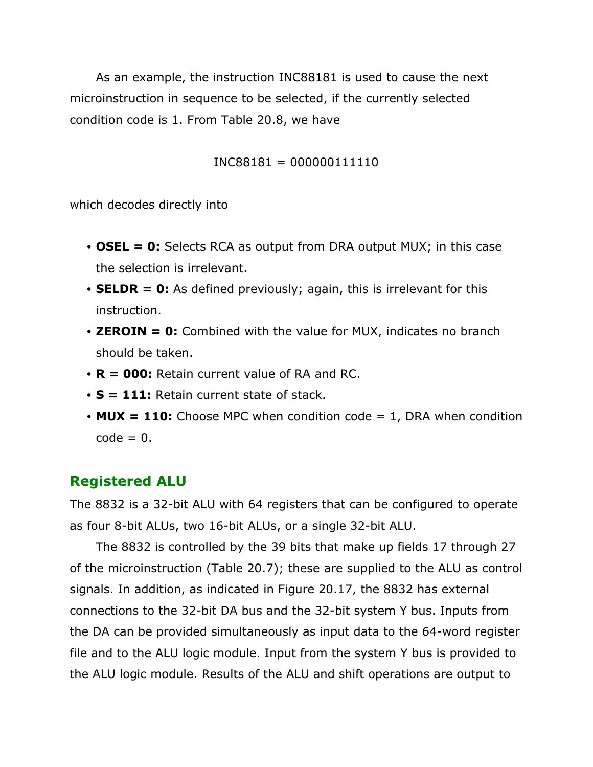As an example, the instruction INC88181 is used to cause the next microinstruction in sequence to be selected, if the currently selected condition code is 1. From Table 20.8, we have

#### INC88181 = 000000111110

which decodes directly into

- **OSEL = 0:** Selects RCA as output from DRA output MUX; in this case the selection is irrelevant.
- **SELDR = 0:** As defined previously; again, this is irrelevant for this instruction.
- **ZEROIN = 0:** Combined with the value for MUX, indicates no branch should be taken.
- **R = 000:** Retain current value of RA and RC.
- **S = 111:** Retain current state of stack.
- **MUX = 110:** Choose MPC when condition code = 1, DRA when condition  $code = 0$ .

#### **Registered ALU**

The 8832 is a 32-bit ALU with 64 registers that can be configured to operate as four 8-bit ALUs, two 16-bit ALUs, or a single 32-bit ALU.

The 8832 is controlled by the 39 bits that make up fields 17 through 27 of the microinstruction (Table 20.7); these are supplied to the ALU as control signals. In addition, as indicated in Figure 20.17, the 8832 has external connections to the 32-bit DA bus and the 32-bit system Y bus. Inputs from the DA can be provided simultaneously as input data to the 64-word register file and to the ALU logic module. Input from the system Y bus is provided to the ALU logic module. Results of the ALU and shift operations are output to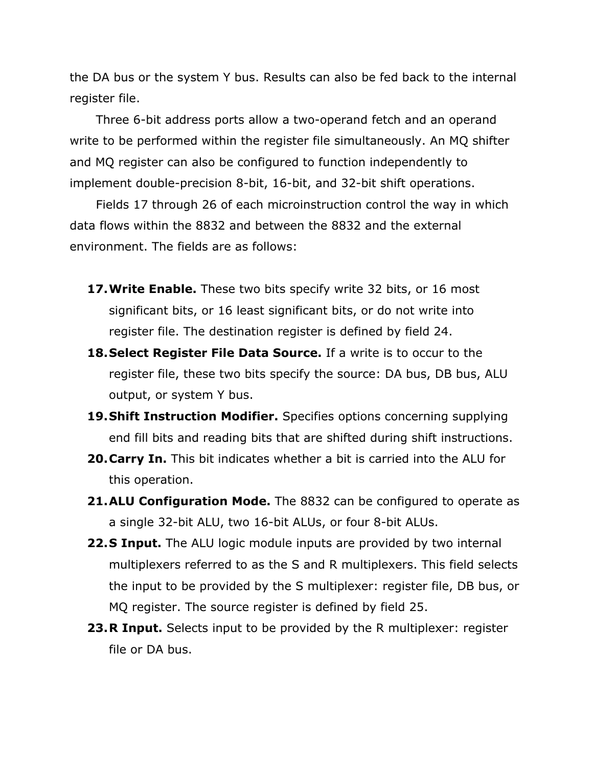the DA bus or the system Y bus. Results can also be fed back to the internal register file.

Three 6-bit address ports allow a two-operand fetch and an operand write to be performed within the register file simultaneously. An MQ shifter and MQ register can also be configured to function independently to implement double-precision 8-bit, 16-bit, and 32-bit shift operations.

Fields 17 through 26 of each microinstruction control the way in which data flows within the 8832 and between the 8832 and the external environment. The fields are as follows:

- **17.Write Enable.** These two bits specify write 32 bits, or 16 most significant bits, or 16 least significant bits, or do not write into register file. The destination register is defined by field 24.
- **18.Select Register File Data Source.** If a write is to occur to the register file, these two bits specify the source: DA bus, DB bus, ALU output, or system Y bus.
- **19.Shift Instruction Modifier.** Specifies options concerning supplying end fill bits and reading bits that are shifted during shift instructions.
- **20.Carry In.** This bit indicates whether a bit is carried into the ALU for this operation.
- **21.ALU Configuration Mode.** The 8832 can be configured to operate as a single 32-bit ALU, two 16-bit ALUs, or four 8-bit ALUs.
- **22.S Input.** The ALU logic module inputs are provided by two internal multiplexers referred to as the S and R multiplexers. This field selects the input to be provided by the S multiplexer: register file, DB bus, or MQ register. The source register is defined by field 25.
- **23.R Input.** Selects input to be provided by the R multiplexer: register file or DA bus.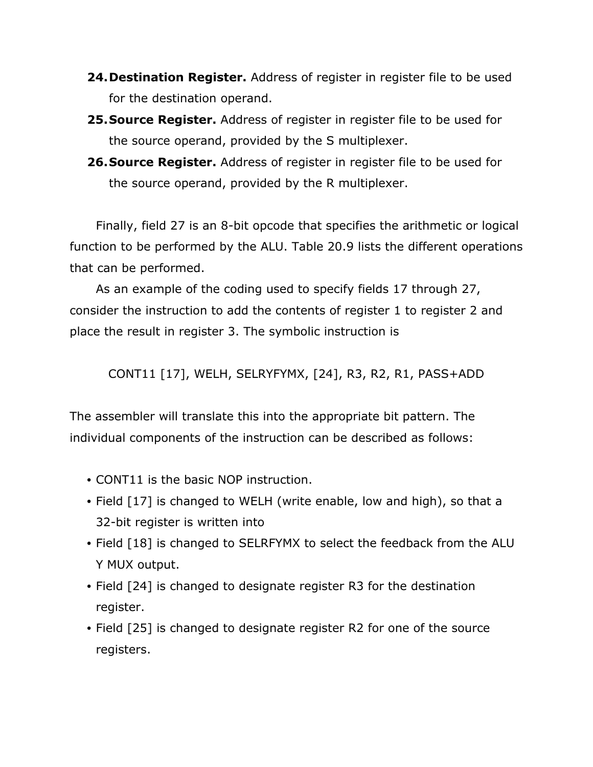- **24.Destination Register.** Address of register in register file to be used for the destination operand.
- **25.Source Register.** Address of register in register file to be used for the source operand, provided by the S multiplexer.
- **26.Source Register.** Address of register in register file to be used for the source operand, provided by the R multiplexer.

Finally, field 27 is an 8-bit opcode that specifies the arithmetic or logical function to be performed by the ALU. Table 20.9 lists the different operations that can be performed.

As an example of the coding used to specify fields 17 through 27, consider the instruction to add the contents of register 1 to register 2 and place the result in register 3. The symbolic instruction is

CONT11 [17], WELH, SELRYFYMX, [24], R3, R2, R1, PASS+ADD

The assembler will translate this into the appropriate bit pattern. The individual components of the instruction can be described as follows:

- CONT11 is the basic NOP instruction.
- Field [17] is changed to WELH (write enable, low and high), so that a 32-bit register is written into
- Field [18] is changed to SELRFYMX to select the feedback from the ALU Y MUX output.
- Field [24] is changed to designate register R3 for the destination register.
- Field [25] is changed to designate register R2 for one of the source registers.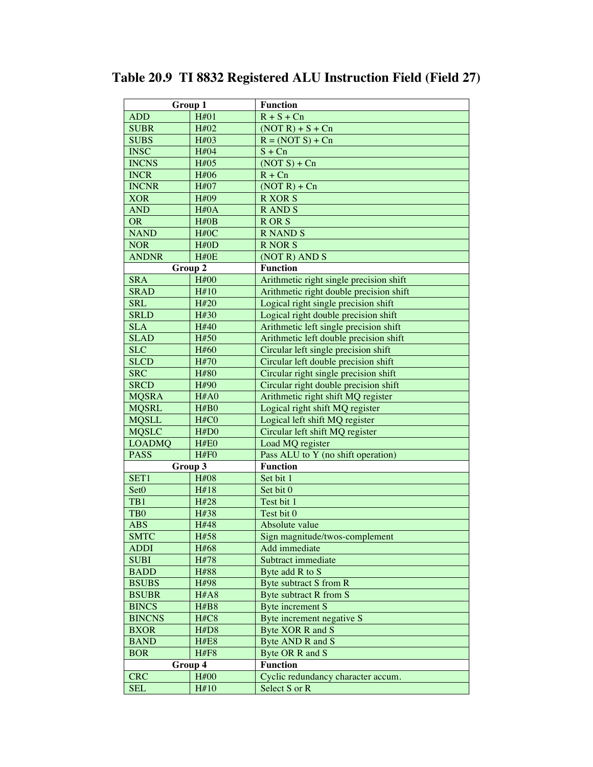| Group 1          |             | <b>Function</b>                         |  |
|------------------|-------------|-----------------------------------------|--|
| <b>ADD</b>       | H#01        | $R + S + Cn$                            |  |
| <b>SUBR</b>      | H#02        | $(NOT R) + S + Cn$                      |  |
| <b>SUBS</b>      | H#03        | $R = (NOT S) + Cn$                      |  |
| <b>INSC</b>      | H#04        | $S + Cn$                                |  |
| <b>INCNS</b>     | H#05        | $(NOT S) + Cn$                          |  |
| <b>INCR</b>      | H#06        | $R + Cn$                                |  |
| <b>INCNR</b>     | H#07        | $(NOT R) + Cn$                          |  |
| <b>XOR</b>       | H#09        | <b>R XOR S</b>                          |  |
| <b>AND</b>       | H#0A        | <b>RANDS</b>                            |  |
| <b>OR</b>        | H#OB        | <b>RORS</b>                             |  |
| <b>NAND</b>      | H#0C        | <b>R NAND S</b>                         |  |
| <b>NOR</b>       | H#0D        | <b>R NOR S</b>                          |  |
| <b>ANDNR</b>     | H#0E        | (NOT R) AND S                           |  |
| Group 2          |             | <b>Function</b>                         |  |
| <b>SRA</b>       | H#00        | Arithmetic right single precision shift |  |
| <b>SRAD</b>      | H#10        | Arithmetic right double precision shift |  |
| <b>SRL</b>       | H#20        | Logical right single precision shift    |  |
| <b>SRLD</b>      | H#30        | Logical right double precision shift    |  |
| <b>SLA</b>       | H#40        | Arithmetic left single precision shift  |  |
| <b>SLAD</b>      | H#50        | Arithmetic left double precision shift  |  |
| SLC              | H#60        | Circular left single precision shift    |  |
| <b>SLCD</b>      | H#70        | Circular left double precision shift    |  |
| <b>SRC</b>       | H#80        | Circular right single precision shift   |  |
| <b>SRCD</b>      | H#90        | Circular right double precision shift   |  |
| <b>MQSRA</b>     | H#A0        | Arithmetic right shift MQ register      |  |
| <b>MQSRL</b>     | H#B0        | Logical right shift MQ register         |  |
| <b>MQSLL</b>     | H#C0        | Logical left shift MQ register          |  |
| <b>MQSLC</b>     | H#D0        | Circular left shift MQ register         |  |
| <b>LOADMQ</b>    | H#E0        | Load MQ register                        |  |
| <b>PASS</b>      | H#F0        | Pass ALU to Y (no shift operation)      |  |
| Group 3          |             | <b>Function</b>                         |  |
| SET1             | H#08        | Set bit 1                               |  |
| Set <sub>0</sub> | H#18        | Set bit 0                               |  |
| TB1              | H#28        | Test bit 1                              |  |
| TB <sub>0</sub>  | H#38        | Test bit 0                              |  |
| <b>ABS</b>       | H#48        | Absolute value                          |  |
| <b>SMTC</b>      | H#58        | Sign magnitude/twos-complement          |  |
| <b>ADDI</b>      | H#68        | Add immediate                           |  |
| <b>SUBI</b>      | H#78        | Subtract immediate                      |  |
| <b>BADD</b>      | H#88        | Byte add R to S                         |  |
| <b>BSUBS</b>     | H#98        | Byte subtract S from R                  |  |
| <b>BSUBR</b>     | H#A8        | Byte subtract R from S                  |  |
| <b>BINCS</b>     | <b>H#B8</b> | Byte increment S                        |  |
| <b>BINCNS</b>    | H#C8        | Byte increment negative S               |  |
| <b>BXOR</b>      | H#D8        | Byte XOR R and S                        |  |
| <b>BAND</b>      | <b>H#E8</b> | Byte AND R and S                        |  |
| <b>BOR</b>       | H#F8        | Byte OR R and S                         |  |
| Group 4          |             | <b>Function</b>                         |  |
| <b>CRC</b>       | H#00        | Cyclic redundancy character accum.      |  |
| <b>SEL</b>       | H#10        | Select S or R                           |  |

**Table 20.9 TI 8832 Registered ALU Instruction Field (Field 27)**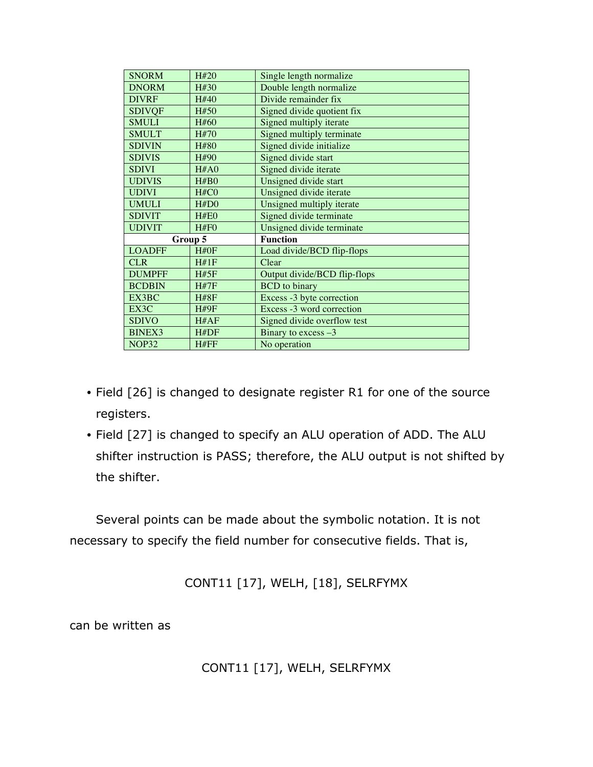| <b>SNORM</b>          | H#20        | Single length normalize      |  |
|-----------------------|-------------|------------------------------|--|
| <b>DNORM</b>          | H#30        | Double length normalize      |  |
| <b>DIVRF</b>          | H#40        | Divide remainder fix         |  |
| <b>SDIVQF</b><br>H#50 |             | Signed divide quotient fix   |  |
| <b>SMULI</b>          | H#60        | Signed multiply iterate      |  |
| <b>SMULT</b>          | H#70        | Signed multiply terminate    |  |
| <b>SDIVIN</b>         | H#80        | Signed divide initialize     |  |
| <b>SDIVIS</b><br>H#90 |             | Signed divide start          |  |
| <b>SDIVI</b>          | H#A0        | Signed divide iterate        |  |
| <b>UDIVIS</b>         | H#B0        | Unsigned divide start        |  |
| <b>UDIVI</b>          | H#CO        | Unsigned divide iterate      |  |
| <b>UMULI</b>          | H#D0        | Unsigned multiply iterate    |  |
| <b>SDIVIT</b>         | H#E0        | Signed divide terminate      |  |
| <b>UDIVIT</b>         | H#F0        | Unsigned divide terminate    |  |
| Group 5               |             | <b>Function</b>              |  |
| <b>LOADFF</b>         | H#0F        | Load divide/BCD flip-flops   |  |
| <b>CLR</b>            | H#1F        | Clear                        |  |
| <b>DUMPFF</b>         | H#5F        | Output divide/BCD flip-flops |  |
| <b>BCDBIN</b>         | H#7F        | <b>BCD</b> to binary         |  |
| EX3BC                 | H#8F        | Excess -3 byte correction    |  |
| EX3C                  | <b>H#9F</b> | Excess -3 word correction    |  |
|                       |             |                              |  |
| <b>SDIVO</b>          | H#AF        | Signed divide overflow test  |  |
| <b>BINEX3</b>         | H#DF        | Binary to excess $-3$        |  |

- Field [26] is changed to designate register R1 for one of the source registers.
- Field [27] is changed to specify an ALU operation of ADD. The ALU shifter instruction is PASS; therefore, the ALU output is not shifted by the shifter.

Several points can be made about the symbolic notation. It is not necessary to specify the field number for consecutive fields. That is,

CONT11 [17], WELH, [18], SELRFYMX

can be written as

CONT11 [17], WELH, SELRFYMX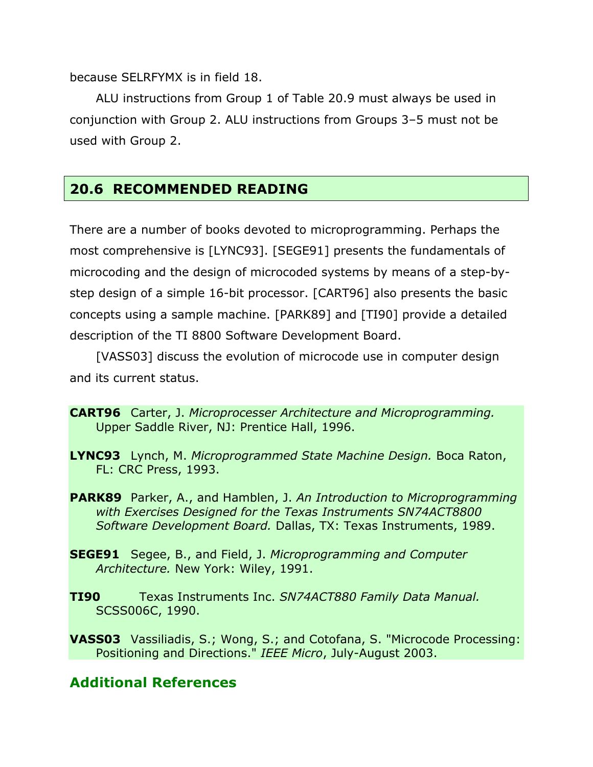because SELRFYMX is in field 18.

ALU instructions from Group 1 of Table 20.9 must always be used in conjunction with Group 2. ALU instructions from Groups 3–5 must not be used with Group 2.

# **20.6 RECOMMENDED READING**

There are a number of books devoted to microprogramming. Perhaps the most comprehensive is [LYNC93]. [SEGE91] presents the fundamentals of microcoding and the design of microcoded systems by means of a step-bystep design of a simple 16-bit processor. [CART96] also presents the basic concepts using a sample machine. [PARK89] and [TI90] provide a detailed description of the TI 8800 Software Development Board.

[VASS03] discuss the evolution of microcode use in computer design and its current status.

- **CART96** Carter, J. *Microprocesser Architecture and Microprogramming.* Upper Saddle River, NJ: Prentice Hall, 1996.
- **LYNC93** Lynch, M. *Microprogrammed State Machine Design.* Boca Raton, FL: CRC Press, 1993.
- **PARK89** Parker, A., and Hamblen, J. *An Introduction to Microprogramming with Exercises Designed for the Texas Instruments SN74ACT8800 Software Development Board.* Dallas, TX: Texas Instruments, 1989.
- **SEGE91** Segee, B., and Field, J. *Microprogramming and Computer Architecture.* New York: Wiley, 1991.
- **TI90** Texas Instruments Inc. *SN74ACT880 Family Data Manual.* SCSS006C, 1990.
- **VASS03** Vassiliadis, S.; Wong, S.; and Cotofana, S. "Microcode Processing: Positioning and Directions." *IEEE Micro*, July-August 2003.

# **Additional References**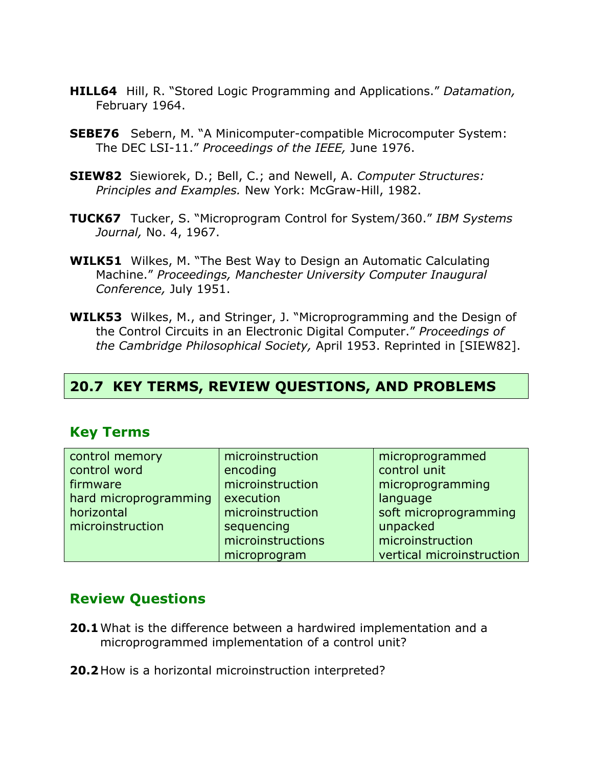- **HILL64** Hill, R. "Stored Logic Programming and Applications." *Datamation,* February 1964.
- **SEBE76** Sebern, M. "A Minicomputer-compatible Microcomputer System: The DEC LSI-11." *Proceedings of the IEEE,* June 1976.
- **SIEW82** Siewiorek, D.; Bell, C.; and Newell, A. *Computer Structures: Principles and Examples.* New York: McGraw-Hill, 1982.
- **TUCK67** Tucker, S. "Microprogram Control for System/360." *IBM Systems Journal,* No. 4, 1967.
- **WILK51** Wilkes, M. "The Best Way to Design an Automatic Calculating Machine." *Proceedings, Manchester University Computer Inaugural Conference,* July 1951.
- **WILK53** Wilkes, M., and Stringer, J. "Microprogramming and the Design of the Control Circuits in an Electronic Digital Computer." *Proceedings of the Cambridge Philosophical Society,* April 1953. Reprinted in [SIEW82].

# **20.7 KEY TERMS, REVIEW QUESTIONS, AND PROBLEMS**

#### **Key Terms**

| control memory        | microinstruction  | microprogrammed           |
|-----------------------|-------------------|---------------------------|
| control word          | encoding          | control unit              |
| firmware              | microinstruction  | microprogramming          |
| hard microprogramming | execution         | language                  |
| horizontal            | microinstruction  | soft microprogramming     |
| microinstruction      | sequencing        | unpacked                  |
|                       | microinstructions | microinstruction          |
|                       | microprogram      | vertical microinstruction |

## **Review Questions**

- **20.1**What is the difference between a hardwired implementation and a microprogrammed implementation of a control unit?
- **20.2**How is a horizontal microinstruction interpreted?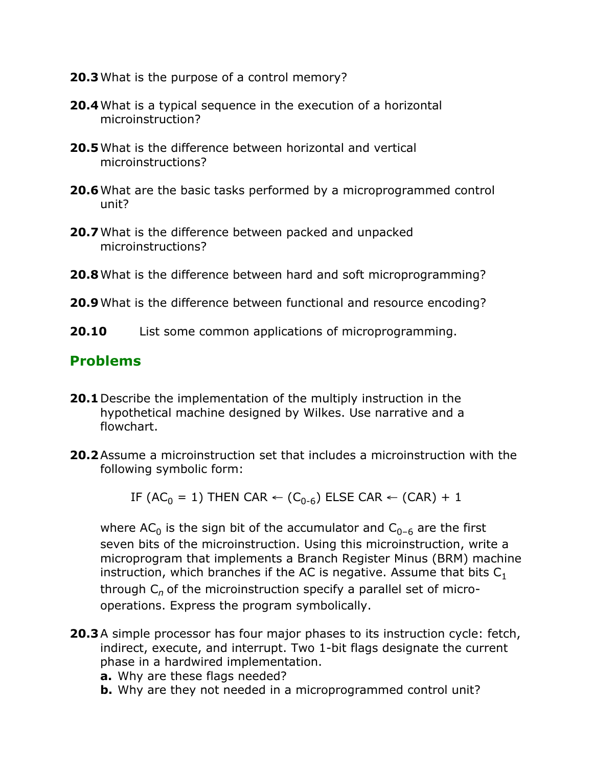- **20.3**What is the purpose of a control memory?
- **20.4**What is a typical sequence in the execution of a horizontal microinstruction?
- **20.5**What is the difference between horizontal and vertical microinstructions?
- **20.6**What are the basic tasks performed by a microprogrammed control unit?
- **20.7**What is the difference between packed and unpacked microinstructions?
- **20.8**What is the difference between hard and soft microprogramming?
- **20.9**What is the difference between functional and resource encoding?
- **20.10** List some common applications of microprogramming.

# **Problems**

- **20.1**Describe the implementation of the multiply instruction in the hypothetical machine designed by Wilkes. Use narrative and a flowchart.
- **20.2**Assume a microinstruction set that includes a microinstruction with the following symbolic form:

IF (AC<sub>0</sub> = 1) THEN CAR  $\leftarrow$  (C<sub>0-6</sub>) ELSE CAR  $\leftarrow$  (CAR) + 1

where  $AC_0$  is the sign bit of the accumulator and  $C_{0-6}$  are the first seven bits of the microinstruction. Using this microinstruction, write a microprogram that implements a Branch Register Minus (BRM) machine instruction, which branches if the AC is negative. Assume that bits  $C_1$ through C*n* of the microinstruction specify a parallel set of microoperations. Express the program symbolically.

- **20.3**A simple processor has four major phases to its instruction cycle: fetch, indirect, execute, and interrupt. Two 1-bit flags designate the current phase in a hardwired implementation.
	- **a.** Why are these flags needed?
	- **b.** Why are they not needed in a microprogrammed control unit?